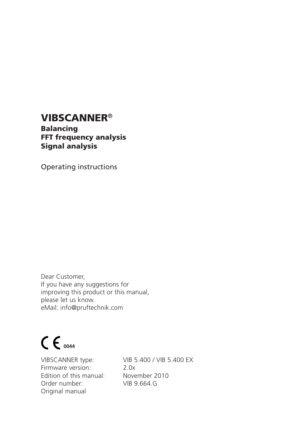# **VIBSCANNER**®

**Balancing FFT frequency analysis Signal analysis**

Operating instructions

Dear Customer, If you have any suggestions for improving this product or this manual, please let us know. eMail: info@pruftechnik.com

# $C_{0044}$

Firmware version: 2.0x Edition of this manual: November 2010 Order number: VIB 9.664.G Original manual

VIBSCANNER type: VIB 5.400 / VIB 5.400 EX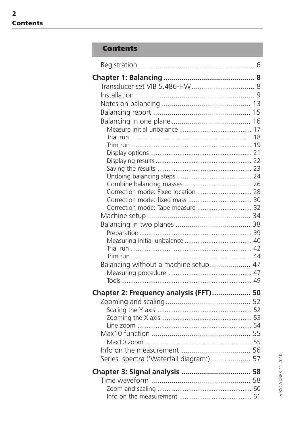# **Contents**

| Correction mode: Fixed location  28      |  |
|------------------------------------------|--|
|                                          |  |
| Correction mode: Tape measure  32        |  |
|                                          |  |
|                                          |  |
|                                          |  |
|                                          |  |
|                                          |  |
| Balancing without a machine setup 47     |  |
|                                          |  |
|                                          |  |
| Chapter 2: Frequency analysis (FFT) 50   |  |
|                                          |  |
|                                          |  |
|                                          |  |
|                                          |  |
|                                          |  |
|                                          |  |
| Series spectra ('Waterfall diagram')  57 |  |
|                                          |  |
|                                          |  |
|                                          |  |
|                                          |  |
|                                          |  |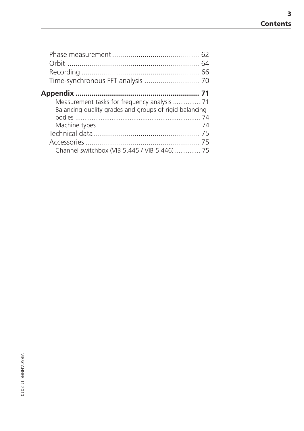| Time-synchronous FFT analysis  70                      |  |
|--------------------------------------------------------|--|
|                                                        |  |
| Measurement tasks for frequency analysis  71           |  |
| Balancing quality grades and groups of rigid balancing |  |
|                                                        |  |
|                                                        |  |
|                                                        |  |
|                                                        |  |
| Channel switchbox (VIB 5.445 / VIB 5.446)  75          |  |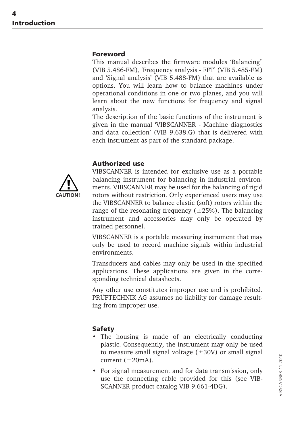#### **Foreword**

This manual describes the firmware modules 'Balancing'' (VIB 5.486-FM), 'Frequency analysis - FFT' (VIB 5.485-FM) and 'Signal analysis' (VIB 5.488-FM) that are available as options. You will learn how to balance machines under operational conditions in one or two planes, and you will learn about the new functions for frequency and signal analysis.

The description of the basic functions of the instrument is given in the manual 'VIBSCANNER - Machine diagnostics and data collection' (VIB 9.638.G) that is delivered with each instrument as part of the standard package.

#### **Authorized use**



VIBSCANNER is intended for exclusive use as a portable balancing instrument for balancing in industrial environments. VIBSCANNER may be used for the balancing of rigid rotors without restriction. Only experienced users may use the VIBSCANNER to balance elastic (soft) rotors within the range of the resonating frequency  $(\pm 25%)$ . The balancing instrument and accessories may only be operated by trained personnel.

VIBSCANNER is a portable measuring instrument that may only be used to record machine signals within industrial environments.

Transducers and cables may only be used in the specified applications. These applications are given in the corresponding technical datasheets.

Any other use constitutes improper use and is prohibited. PRÜFTECHNIK AG assumes no liability for damage resulting from improper use.

#### **Safety**

- The housing is made of an electrically conducting plastic. Consequently, the instrument may only be used to measure small signal voltage  $(\pm 30V)$  or small signal current  $(\pm 20$ mA).
- For signal measurement and for data transmission, only use the connecting cable provided for this (see VIB-SCANNER product catalog VIB 9.661-4DG).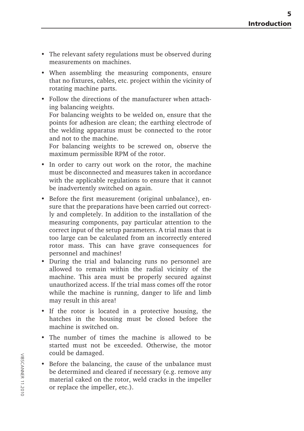- The relevant safety regulations must be observed during measurements on machines.
- When assembling the measuring components, ensure that no fixtures, cables, etc. project within the vicinity of rotating machine parts.
- Follow the directions of the manufacturer when attaching balancing weights. For balancing weights to be welded on, ensure that the points for adhesion are clean; the earthing electrode of the welding apparatus must be connected to the rotor and not to the machine.

For balancing weights to be screwed on, observe the maximum permissible RPM of the rotor.

- In order to carry out work on the rotor, the machine must be disconnected and measures taken in accordance with the applicable regulations to ensure that it cannot be inadvertently switched on again.
- Before the first measurement (original unbalance), ensure that the preparations have been carried out correctly and completely. In addition to the installation of the measuring components, pay particular attention to the correct input of the setup parameters. A trial mass that is too large can be calculated from an incorrectly entered rotor mass. This can have grave consequences for personnel and machines!
- During the trial and balancing runs no personnel are allowed to remain within the radial vicinity of the machine. This area must be properly secured against unauthorized access. If the trial mass comes off the rotor while the machine is running, danger to life and limb may result in this area!
- If the rotor is located in a protective housing, the hatches in the housing must be closed before the machine is switched on.
- The number of times the machine is allowed to be started must not be exceeded. Otherwise, the motor could be damaged.
- Before the balancing, the cause of the unbalance must be determined and cleared if necessary (e.g. remove any material caked on the rotor, weld cracks in the impeller or replace the impeller, etc.).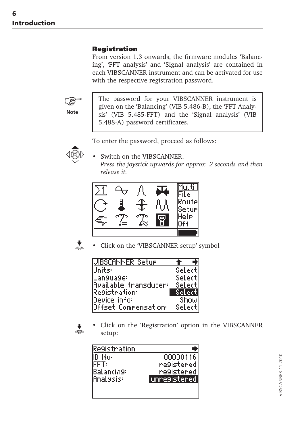#### <span id="page-5-0"></span>**Registration**

From version 1.3 onwards, the firmware modules 'Balancing', 'FFT analysis' and 'Signal analysis' are contained in each VIBSCANNER instrument and can be activated for use with the respective registration password.



The password for your VIBSCANNER instrument is given on the 'Balancing' (VIB 5.486-B), the 'FFT Analysis' (VIB 5.485-FFT) and the 'Signal analysis' (VIB 5.488-A) password certificates.

To enter the password, proceed as follows:



Switch on the VIBSCANNER. *Press the joystick upwards for approx. 2 seconds and then release it.*





• Click on the 'VIBSCANNER setup' symbol

| IVIBSCANNER Setur     |               |      |
|-----------------------|---------------|------|
| Units:                | Select        |      |
| lLan9ua9e:            | Select        |      |
| Available_transducer= | Select        |      |
| <b>Resistration:</b>  | <b>Select</b> |      |
| Device_info:          |               | Show |
| Offset Compensation:  | Select        |      |

• Click on the 'Registration' option in the VIBSCANNER setup:

| Re9istration      |               |
|-------------------|---------------|
| IID No:           | 00000116      |
| FFT:              | na9istered.   |
| Balancin9:        | re9istered    |
| <b>IAnalysis:</b> | unre9isteredl |
|                   |               |
|                   |               |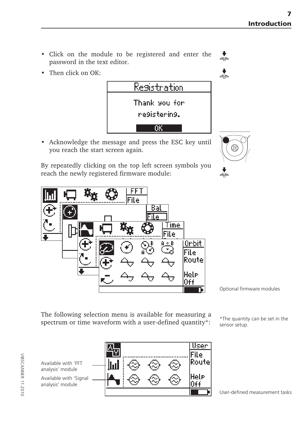- Click on the module to be registered and enter the password in the text editor.
- Then click on OK:



• Acknowledge the message and press the ESC key until you reach the start screen again.

By repeatedly clicking on the top left screen symbols you reach the newly registered firmware module:



Optional firmware modules

The following selection menu is available for measuring a spectrum or time waveform with a user-defined quantity\*:  $\frac{1}{\epsilon_{\text{energy}}}\times\frac{1}{\epsilon_{\text{energy}}}\times\frac{1}{\epsilon_{\text{energy}}}\times\frac{1}{\epsilon_{\text{energy}}}\times\frac{1}{\epsilon_{\text{energy}}}\times\frac{1}{\epsilon_{\text{energy}}}\times\frac{1}{\epsilon_{\text{avg}}}\times\frac{1}{\epsilon_{\text{avg}}}\times\frac{1}{\epsilon_{\text{avg}}}\times\frac{1}{\epsilon_{\text{avg}}}\times\frac{1}{\epsilon_{\text{avg}}$ 

sensor setup.

Available with 'FFT analysis' module Available with 'Signal analysis' module



User-defined measurement tasks



 $\overset{\blacklozenge}{\blacklozenge}$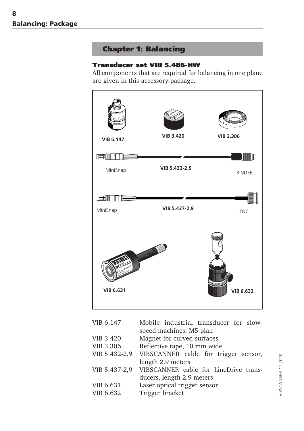# **Chapter 1: Balancing**

## <span id="page-7-0"></span>**Transducer set VIB 5.486-HW**

All components that are required for balancing in one plane are given in this accessory package.



| VIB 6.147     | Mobile industrial transducer for slow- |
|---------------|----------------------------------------|
|               | speed machines, M5 plan                |
| VIB 3.420     | Magnet for curved surfaces             |
| VIB 3.306     | Reflective tape, 10 mm wide            |
| VIB 5.432-2,9 | VIBSCANNER cable for trigger sensor,   |
|               | length 2.9 meters                      |
| VIB 5.437-2,9 | VIBSCANNER cable for LineDrive trans-  |
|               | ducers, length 2.9 meters              |
| VIB 6.631     | Laser optical trigger sensor           |
| VIB 6.632     | Trigger bracket                        |
|               |                                        |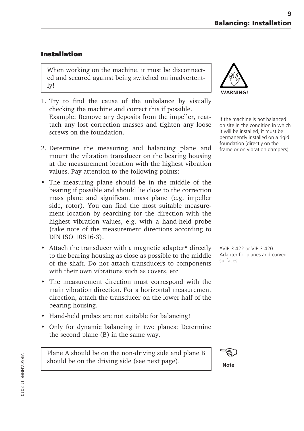# <span id="page-8-0"></span>**Installation**

When working on the machine, it must be disconnected and secured against being switched on inadvertently!

- 1. Try to find the cause of the unbalance by visually checking the machine and correct this if possible. Example: Remove any deposits from the impeller, reattach any lost correction masses and tighten any loose screws on the foundation.
- 2. Determine the measuring and balancing plane and mount the vibration transducer on the bearing housing at the measurement location with the highest vibration values. Pay attention to the following points:
- The measuring plane should be in the middle of the bearing if possible and should lie close to the correction mass plane and significant mass plane (e.g. impeller side, rotor). You can find the most suitable measurement location by searching for the direction with the highest vibration values, e.g. with a hand-held probe (take note of the measurement directions according to DIN ISO 10816-3).
- Attach the transducer with a magnetic adapter\* directly to the bearing housing as close as possible to the middle of the shaft. Do not attach transducers to components with their own vibrations such as covers, etc.
- The measurement direction must correspond with the main vibration direction. For a horizontal measurement direction, attach the transducer on the lower half of the bearing housing.
- Hand-held probes are not suitable for balancing!
- Only for dynamic balancing in two planes: Determine the second plane (B) in the same way.

Plane A should be on the non-driving side and plane B should be on the driving side (see next page).

![](_page_8_Picture_11.jpeg)

If the machine is not balanced on site in the condition in which it will be installed, it must be permanently installed on a rigid foundation (directly on the frame or on vibration dampers).

\*VIB 3.422 or VIB 3.420 Adapter for planes and curved surfaces

![](_page_8_Picture_14.jpeg)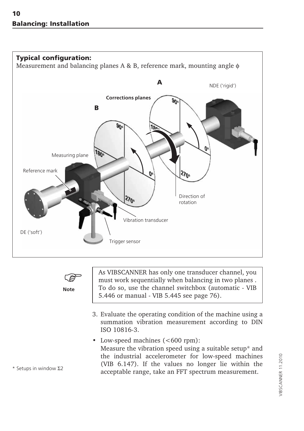![](_page_9_Figure_1.jpeg)

**Note**

As VIBSCANNER has only one transducer channel, you must work sequentially when balancing in two planes . To do so, use the channel switchbox (automatic - VIB 5.446 or manual - VIB 5.445 see page 76).

- 3. Evaluate the operating condition of the machine using a summation vibration measurement according to DIN ISO 10816-3.
- Low-speed machines (<600 rpm): Measure the vibration speed using a suitable setup\* and the industrial accelerometer for low-speed machines (VIB 6.147). If the values no longer lie within the acceptable range, take an FFT spectrum measurement.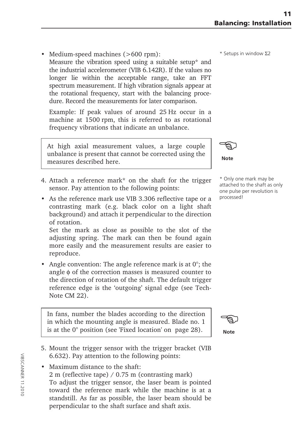• Medium-speed machines (>600 rpm): Measure the vibration speed using a suitable setup\* and

the industrial accelerometer (VIB 6.142R). If the values no longer lie within the acceptable range, take an FFT spectrum measurement. If high vibration signals appear at the rotational frequency, start with the balancing procedure. Record the measurements for later comparison.

Example: If peak values of around 25 Hz occur in a machine at 1500 rpm, this is referred to as rotational frequency vibrations that indicate an unbalance.

At high axial measurement values, a large couple unbalance is present that cannot be corrected using the measures described here.

- 4. Attach a reference mark\* on the shaft for the trigger sensor. Pay attention to the following points:
- As the reference mark use VIB 3.306 reflective tape or a contrasting mark (e.g. black color on a light shaft background) and attach it perpendicular to the direction of rotation.

Set the mark as close as possible to the slot of the adjusting spring. The mark can then be found again more easily and the measurement results are easier to reproduce.

• Angle convention: The angle reference mark is at  $0^\circ$ ; the angle φ of the correction masses is measured counter to the direction of rotation of the shaft. The default trigger reference edge is the 'outgoing' signal edge (see Tech-Note CM 22).

In fans, number the blades according to the direction in which the mounting angle is measured. Blade no. 1 is at the 0° position (see 'Fixed location' on page 28).

ිලා

**Note**

- 5. Mount the trigger sensor with the trigger bracket (VIB 6.632). Pay attention to the following points:
- Maximum distance to the shaft: 2 m (reflective tape) / 0.75 m (contrasting mark) To adjust the trigger sensor, the laser beam is pointed toward the reference mark while the machine is at a standstill. As far as possible, the laser beam should be perpendicular to the shaft surface and shaft axis.

\* Setups in window Σ2

**Note** ිද

\* Only one mark may be attached to the shaft as only one pulse per revolution is processed!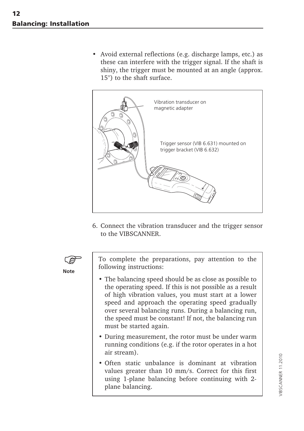• Avoid external reflections (e.g. discharge lamps, etc.) as these can interfere with the trigger signal. If the shaft is shiny, the trigger must be mounted at an angle (approx. 15°) to the shaft surface.

![](_page_11_Picture_2.jpeg)

6. Connect the vibration transducer and the trigger sensor to the VIBSCANNER.

![](_page_11_Picture_4.jpeg)

To complete the preparations, pay attention to the following instructions:

- The balancing speed should be as close as possible to the operating speed. If this is not possible as a result of high vibration values, you must start at a lower speed and approach the operating speed gradually over several balancing runs. During a balancing run, the speed must be constant! If not, the balancing run must be started again.
- During measurement, the rotor must be under warm running conditions (e.g. if the rotor operates in a hot
- Often static unbalance is dominant at vibration values greater than 10 mm/s. Correct for this first using 1-plane balancing before continuing with 2 plane balancing.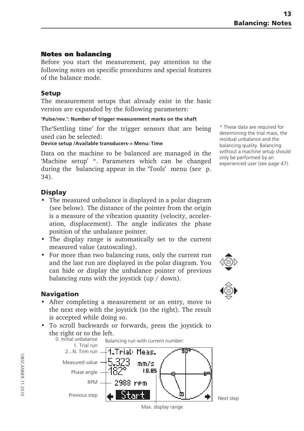#### <span id="page-12-0"></span>**Notes on balancing**

Before you start the measurement, pay attention to the following notes on specific procedures and special features of the balance mode.

#### **Setup**

The measurement setups that already exist in the basic version are expanded by the following parameters:

#### **'Pulse/rev.': Number of trigger measurement marks on the shaft**

The'Settling time' for the trigger sensors that are being used can be selected:

#### **Device setup /Available transducers-> Menu: Time**

Data on the machine to be balanced are managed in the 'Machine setup' \*. Parameters which can be changed during the balancing appear in the 'Tools' menu (see p. 34).

#### **Display**

- The measured unbalance is displayed in a polar diagram (see below). The distance of the pointer from the origin is a measure of the vibration quantity (velocity, acceleration, displacement). The angle indicates the phase position of the unbalance pointer.
- The display range is automatically set to the current measured value (autoscaling).
- For more than two balancing runs, only the current run and the last run are displayed in the polar diagram. You can hide or display the unbalance pointer of previous balancing runs with the joystick (up / down).

#### **Navigation**

- After completing a measurement or an entry, move to the next step with the joystick (to the right). The result is accepted while doing so.
- To scroll backwards or forwards, press the joystick to the right or to the left.

![](_page_12_Figure_16.jpeg)

\* These data are required for determining the trial mass, the residual unbalance and the balancing quality. Balancing without a machine setup should only be performed by an experienced user (see page 47).

![](_page_12_Picture_18.jpeg)

![](_page_12_Picture_19.jpeg)

Max. display range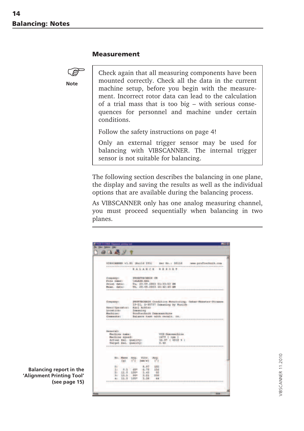#### **Measurement**

![](_page_13_Picture_2.jpeg)

Check again that all measuring components have been mounted correctly. Check all the data in the current machine setup, before you begin with the measurement. Incorrect rotor data can lead to the calculation of a trial mass that is too big – with serious consequences for personnel and machine under certain conditions.

Follow the safety instructions on page 4!

Only an external trigger sensor may be used for balancing with VIBSCANNER. The internal trigger sensor is not suitable for balancing.

The following section describes the balancing in one plane, the display and saving the results as well as the individual options that are available during the balancing process.

As VIBSCANNER only has one analog measuring channel, you must proceed sequentially when balancing in two planes.

| <b>BALANCE REPOR</b><br>PERRETROBILE OR<br>Economication<br>File name:<br><b>JALAIN, HAL</b><br>Syink date:<br>Tu, 23:09.2003 01:33:53 DM<br>Th. 28.08.2003 18:42:46 AM<br>Heat, date:<br>Complement:<br>19-21, D-85737 Innaning by Munich<br>Uner/Operatori -<br>Karl Anhter<br>Lond Long<br>laughing.<br>Machinery<br>Pruftechnik Descassibine<br>Dalance tast with recall: on.<br>Commanda:<br>Gemeral: | PROFTECHNIK Condition Monitoring, Gekse Henries-Stranse<br><b>Machine</b> name:<br>VII-Depressioning<br>1479 [ spm ]<br>machine speed:<br>Actual Hal, Quality:<br>16.07 ( 4010 4<br>Tarnet Bal, Guality:<br>E. 40 |                        |                                                                      | VIRICANNER v1.01 HALLS 2011 Sec No.: 80116 | www.pruftachnik.com |
|------------------------------------------------------------------------------------------------------------------------------------------------------------------------------------------------------------------------------------------------------------------------------------------------------------------------------------------------------------------------------------------------------------|-------------------------------------------------------------------------------------------------------------------------------------------------------------------------------------------------------------------|------------------------|----------------------------------------------------------------------|--------------------------------------------|---------------------|
|                                                                                                                                                                                                                                                                                                                                                                                                            |                                                                                                                                                                                                                   |                        |                                                                      |                                            |                     |
|                                                                                                                                                                                                                                                                                                                                                                                                            |                                                                                                                                                                                                                   |                        |                                                                      |                                            |                     |
|                                                                                                                                                                                                                                                                                                                                                                                                            |                                                                                                                                                                                                                   |                        |                                                                      |                                            |                     |
|                                                                                                                                                                                                                                                                                                                                                                                                            |                                                                                                                                                                                                                   |                        |                                                                      |                                            |                     |
| Ho., House, Arez.<br>Ville, And,<br>[ <sub>u</sub> ]<br>Imm/s1<br>U.I                                                                                                                                                                                                                                                                                                                                      |                                                                                                                                                                                                                   | <b>Ur</b><br>1r<br>9.5 | 8.97<br>$-102$<br>156<br>$-60+$<br>$-6.78$<br>$11.1 105*$<br>$-3.43$ | $-5.2$                                     |                     |

**Balancing report in the 'Alignment Printing Tool' (see page 15)**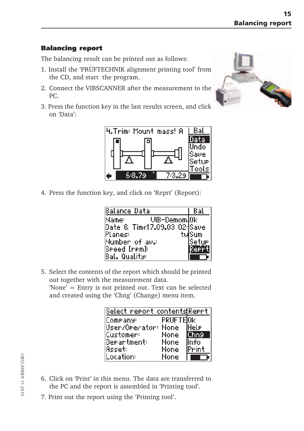# <span id="page-14-0"></span>**Balancing report**

The balancing result can be printed out as follows:

- 1. Install the 'PRÜFTECHNIK alignment printing tool' from the CD, and start the program.
- 2. Connect the VIBSCANNER after the measurement to the PC.
- 3. Press the function key in the last results screen, and click on 'Data':

![](_page_14_Figure_6.jpeg)

4. Press the function key, and click on 'Reprt' (Report):

| Balance Data                 | Bat    |
|------------------------------|--------|
| UIB-Demom.Ok<br>Mamer        |        |
| Date & Time17.09.03 02: Save |        |
| Planes:                      | tulSum |
| Number of av.:               | Setur  |
| Speed [rpm]:                 | 泥土地    |
| Bal. Quality:                |        |

5. Select the contents of the report which should be printed out together with the measurement data.

'None' = Entry is not printed out. Text can be selected and created using the 'Chng' (Change) menu item.

| Select report contents Reprt- |          |        |
|-------------------------------|----------|--------|
| Company:                      | PRUFTEOK |        |
| User/Orecator: None           |          | lHele  |
| Customer:                     | None     | (Thn9  |
| Department:                   | None     | Info   |
| Asseti                        | None     | lPrint |
| .ocation:                     | None     |        |

- 6. Click on 'Print' in this menu. The data are transferred to the PC and the report is assembled in 'Printing tool'.
- 7. Print out the report using the 'Printing tool'.

VIBSCANNER 11.2010

**VIBSCANNER 11.2010** 

![](_page_14_Picture_15.jpeg)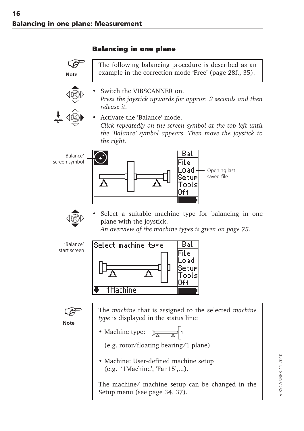# **Balancing in one plane**

<span id="page-15-0"></span>**Note**

![](_page_15_Picture_3.jpeg)

![](_page_15_Picture_4.jpeg)

example in the correction mode 'Free' (page 28f., 35).

The following balancing procedure is described as an

Switch the VIBSCANNER on. *Press the joystick upwards for approx. 2 seconds and then release it.*

• Activate the 'Balance' mode. *Click repeatedly on the screen symbol at the top left until the 'Balance' symbol appears. Then move the joystick to the right.*

 'Balance' screen symbol

![](_page_15_Figure_9.jpeg)

![](_page_15_Picture_10.jpeg)

Select a suitable machine type for balancing in one plane with the joystick.

*An overview of the machine types is given on page 75.*

'Balance' start screen

![](_page_15_Figure_14.jpeg)

![](_page_15_Picture_15.jpeg)

The *machine* that is assigned to the selected *machine type* is displayed in the status line:

• Machine type:  $\mathbb{D}_{\overline{A}}$ 

(e.g. rotor/floating bearing/1 plane)

• Machine: User-defined machine setup (e.g. '1Machine', 'Fan15',...).

The machine/ machine setup can be changed in the Setup menu (see page 34, 37).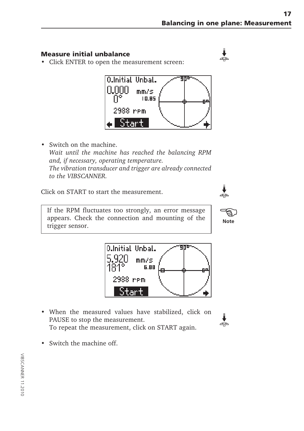#### <span id="page-16-0"></span>**Measure initial unbalance**

• Click ENTER to open the measurement screen:

![](_page_16_Figure_3.jpeg)

• Switch on the machine. *Wait until the machine has reached the balancing RPM and, if necessary, operating temperature. The vibration transducer and trigger are already connected to the VIBSCANNER.*

Click on START to start the measurement.

If the RPM fluctuates too strongly, an error message appears. Check the connection and mounting of the trigger sensor.

![](_page_16_Figure_8.jpeg)

- When the measured values have stabilized, click on PAUSE to stop the measurement. To repeat the measurement, click on START again.
- Switch the machine off.

![](_page_16_Picture_12.jpeg)

÷

![](_page_16_Picture_13.jpeg)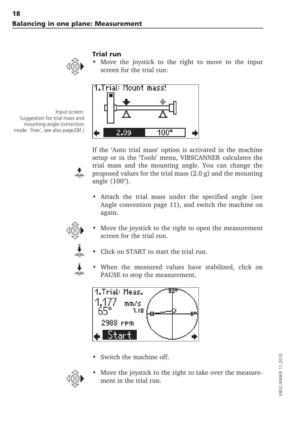<span id="page-17-0"></span>![](_page_17_Picture_1.jpeg)

#### **Trial run**

Move the joystick to the right to move to the input screen for the trial run:

![](_page_17_Figure_4.jpeg)

If the 'Auto trial mass' option is activated in the machine setup or in the 'Tools' menu, VIBSCANNER calculates the trial mass and the mounting angle. You can change the proposed values for the trial mass (2.0 g) and the mounting angle (100°).

- Attach the trial mass under the specified angle (see Angle convention page 11), and switch the machine on again.
- 

 $\frac{1}{4}$ 

Move the joystick to the right to open the measurement screen for the trial run.

![](_page_17_Figure_9.jpeg)

- Click on START to start the trial run.
- When the measured values have stabilized, click on PAUSE to stop the measurement.

![](_page_17_Figure_12.jpeg)

Switch the machine off.

![](_page_17_Picture_14.jpeg)

Move the joystick to the right to take over the measurement in the trial run.

VIBSCANNER 11.2010

/IBSCANNER 11.2010

![](_page_17_Picture_16.jpeg)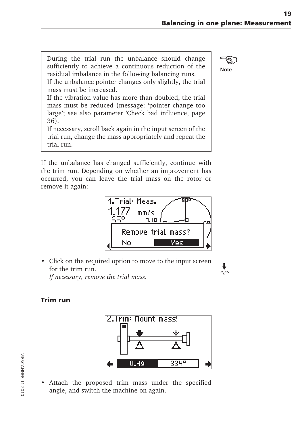<span id="page-18-0"></span>During the trial run the unbalance should change sufficiently to achieve a continuous reduction of the residual imbalance in the following balancing runs.

If the unbalance pointer changes only slightly, the trial mass must be increased.

If the vibration value has more than doubled, the trial mass must be reduced (message: 'pointer change too large'; see also parameter 'Check bad influence, page 36).

If necessary, scroll back again in the input screen of the trial run, change the mass appropriately and repeat the trial run.

If the unbalance has changed sufficiently, continue with the trim run. Depending on whether an improvement has occurred, you can leave the trial mass on the rotor or remove it again:

![](_page_18_Figure_6.jpeg)

• Click on the required option to move to the input screen for the trim run. *If necessary, remove the trial mass.*

#### **Trim run**

![](_page_18_Figure_9.jpeg)

• Attach the proposed trim mass under the specified angle, and switch the machine on again.

![](_page_18_Picture_11.jpeg)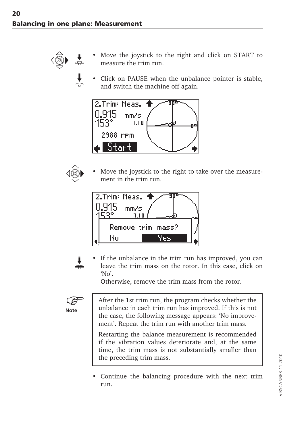![](_page_19_Picture_1.jpeg)

- Move the joystick to the right and click on START to measure the trim run.
- Click on PAUSE when the unbalance pointer is stable, and switch the machine off again.

![](_page_19_Figure_4.jpeg)

![](_page_19_Picture_5.jpeg)

Move the joystick to the right to take over the measurement in the trim run.

![](_page_19_Figure_7.jpeg)

![](_page_19_Picture_8.jpeg)

• If the unbalance in the trim run has improved, you can leave the trim mass on the rotor. In this case, click on 'No'.

Otherwise, remove the trim mass from the rotor.

![](_page_19_Picture_11.jpeg)

After the 1st trim run, the program checks whether the unbalance in each trim run has improved. If this is not the case, the following message appears: 'No improvement'. Repeat the trim run with another trim mass.

Restarting the balance measurement is recommended if the vibration values deteriorate and, at the same time, the trim mass is not substantially smaller than the preceding trim mass.

• Continue the balancing procedure with the next trim run.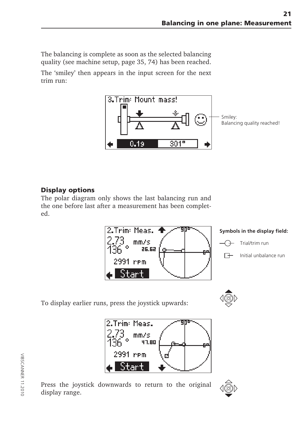<span id="page-20-0"></span>The balancing is complete as soon as the selected balancing quality (see machine setup, page 35, 74) has been reached.

The 'smiley' then appears in the input screen for the next trim run:

![](_page_20_Figure_3.jpeg)

# **Display options**

The polar diagram only shows the last balancing run and the one before last after a measurement has been completed.

![](_page_20_Figure_6.jpeg)

![](_page_20_Figure_7.jpeg)

Trial/trim run

 $\Box$ Initial unbalance run

To display earlier runs, press the joystick upwards:

![](_page_20_Picture_11.jpeg)

2.Trim: Meas.  $mm/s$ 47.80 2991 rem

![](_page_20_Picture_13.jpeg)

![](_page_20_Picture_14.jpeg)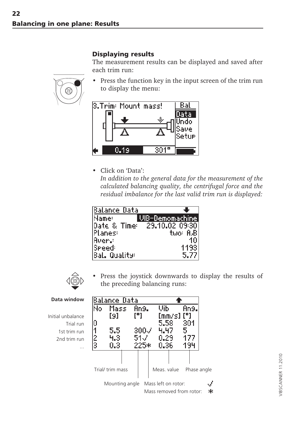# **Displaying results**

The measurement results can be displayed and saved after each trim run:

• Press the function key in the input screen of the trim run to display the menu:

![](_page_21_Figure_4.jpeg)

• Click on 'Data':

*In addition to the general data for the measurement of the calculated balancing quality, the centrifugal force and the residual imbalance for the last valid trim run is displayed:*

| lBalance Data |                             |
|---------------|-----------------------------|
| Name:         | UIB-Demomachine             |
|               | Date & Time: 29.10.02 09:30 |
| Planes:       | tuo: 8.Bl                   |
| <b>Avery</b>  |                             |
| <b>Speed:</b> | 1193                        |
| Bal. Quality: | 5.77                        |

![](_page_21_Picture_8.jpeg)

Press the joystick downwards to display the results of the preceding balancing runs:

> أتورد 宋

| Data window       |        | Balance Data     |      |              |             |                                                 |      |      |             |
|-------------------|--------|------------------|------|--------------|-------------|-------------------------------------------------|------|------|-------------|
|                   | No     | Massi            |      | An9.         | Uib         |                                                 |      | An9. |             |
| Initial unbalance |        | [9]              | וייז |              |             | [mm/s].                                         | וייז |      |             |
| Trial run         | Ū      |                  |      |              | 5,58        |                                                 | 301  |      |             |
| 1st trim run      |        | 5.5              |      | $300\sqrt{}$ | 4.47        |                                                 | 5    |      |             |
| 2nd trim run      | 2<br>3 | 4.3              |      | 51 V         | 0.29        |                                                 | 177  |      |             |
| .                 |        | 0.3              |      | 225*         | 0.36        |                                                 | 194  |      |             |
|                   |        |                  |      |              |             |                                                 |      |      |             |
|                   |        |                  |      |              |             |                                                 |      |      |             |
|                   |        | Trial/ trim mass |      |              | Meas, value |                                                 |      |      | Phase angle |
|                   |        | Mounting angle   |      |              |             | Mass left on rotor:<br>Mass removed from rotor: |      |      | st.<br>4    |

![](_page_21_Picture_11.jpeg)

<span id="page-21-0"></span>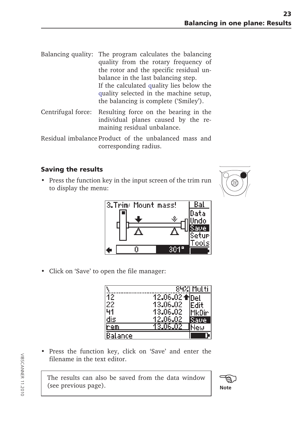<span id="page-22-0"></span>

| Balancing quality: The program calculates the balancing<br>quality from the rotary frequency of<br>the rotor and the specific residual un-<br>balance in the last balancing step.<br>If the calculated quality lies below the<br>quality selected in the machine setup, |
|-------------------------------------------------------------------------------------------------------------------------------------------------------------------------------------------------------------------------------------------------------------------------|
| the balancing is complete ('Smiley').                                                                                                                                                                                                                                   |
|                                                                                                                                                                                                                                                                         |

Centrifugal force: Resulting force on the bearing in the individual planes caused by the remaining residual unbalance.

# **Saving the results**

• Press the function key in the input screen of the trim run to display the menu:

![](_page_22_Picture_6.jpeg)

![](_page_22_Figure_7.jpeg)

• Click on 'Save' to open the file manager:

|         |          | 84%I Multii |
|---------|----------|-------------|
| 12      |          |             |
| 22      | 13,06,02 | Fdit        |
|         | 13,06,02 | MkDir.      |
| dis.    | 12.06.02 | Save        |
| rem     | 3.06.02  |             |
| Balance |          |             |

• Press the function key, click on 'Save' and enter the filename in the text editor.

The results can also be saved from the data window (see previous page).

![](_page_22_Picture_12.jpeg)

Residual imbalance Product of the unbalanced mass and corresponding radius.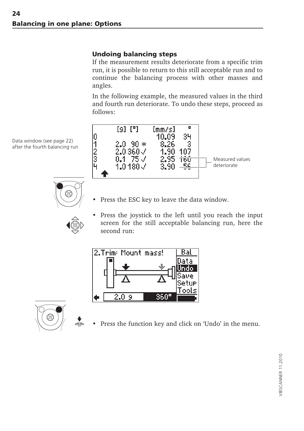# <span id="page-23-0"></span>**Undoing balancing steps**

If the measurement results deteriorate from a specific trim run, it is possible to return to this still acceptable run and to continue the balancing process with other masses and angles.

In the following example, the measured values in the third and fourth run deteriorate. To undo these steps, proceed as follows:

![](_page_23_Figure_4.jpeg)

Data window (see page 22) after the fourth balancing run

![](_page_23_Picture_6.jpeg)

- Press the ESC key to leave the data window.
- Press the joystick to the left until you reach the input screen for the still acceptable balancing run, here the second run:

![](_page_23_Figure_9.jpeg)

![](_page_23_Picture_10.jpeg)

Press the function key and click on 'Undo' in the menu.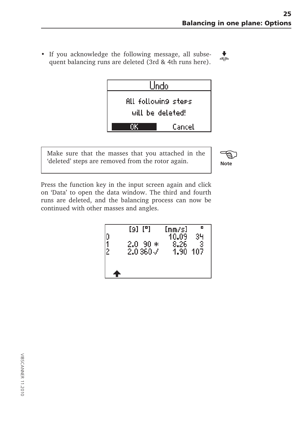• If you acknowledge the following message, all subse- $\overline{\mathbf{t}}$ quent balancing runs are deleted (3rd & 4th runs here).

![](_page_24_Figure_2.jpeg)

Make sure that the masses that you attached in the 'deleted' steps are removed from the rotor again.

![](_page_24_Picture_4.jpeg)

Press the function key in the input screen again and click on 'Data' to open the data window. The third and fourth runs are deleted, and the balancing process can now be continued with other masses and angles.

| 2 | [9] [°] | fmm≠sl | о    |
|---|---------|--------|------|
|   | $-90*$  | 10.09  | 34   |
|   | 2.0     | 8.26   | 3    |
|   | 2.0360J | 1.90   | -107 |
|   |         |        |      |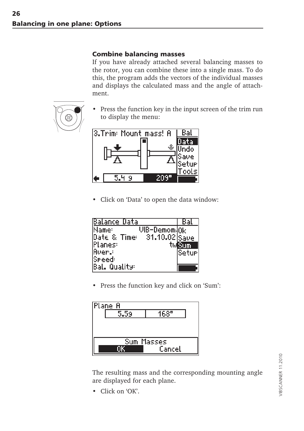### <span id="page-25-0"></span>**Combine balancing masses**

If you have already attached several balancing masses to the rotor, you can combine these into a single mass. To do this, the program adds the vectors of the individual masses and displays the calculated mass and the angle of attachment.

![](_page_25_Picture_3.jpeg)

Press the function key in the input screen of the trim run to display the menu:

![](_page_25_Figure_5.jpeg)

• Click on 'Data' to open the data window:

| Balance Data                                     | Kal     |
|--------------------------------------------------|---------|
| Name:<br>$\mathsf{UB}\text{-}\mathsf{Demou}$ (Ok |         |
| Date & Time: 31.10.02 Save                       |         |
| lPlanes:                                         | Sum     |
| lAver.:                                          | iSeturi |
| lSpeed:                                          |         |
| IBal, Quality:                                   |         |

• Press the function key and click on 'Sum':

![](_page_25_Figure_9.jpeg)

The resulting mass and the corresponding mounting angle are displayed for each plane.

• Click on 'OK'.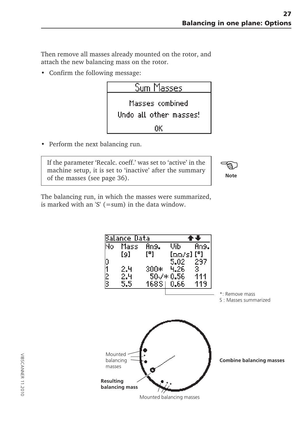Then remove all masses already mounted on the rotor, and attach the new balancing mass on the rotor.

• Confirm the following message:

![](_page_26_Figure_3.jpeg)

• Perform the next balancing run.

If the parameter 'Recalc. coeff.' was set to 'active' in the machine setup, it is set to 'inactive' after the summary of the masses (see page 36).

![](_page_26_Picture_6.jpeg)

The balancing run, in which the masses were summarized, is marked with an 'S'  $(=sum)$  in the data window.

![](_page_26_Figure_8.jpeg)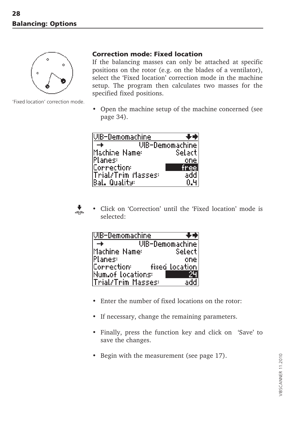<span id="page-27-0"></span>![](_page_27_Picture_1.jpeg)

'Fixed location' correction mode.

#### **Correction mode: Fixed location**

If the balancing masses can only be attached at specific positions on the rotor (e.g. on the blades of a ventilator), select the 'Fixed location' correction mode in the machine setup. The program then calculates two masses for the specified fixed positions.

• Open the machine setup of the machine concerned (see page 34).

| IVIB-Demomachine   |                 |
|--------------------|-----------------|
|                    | UIB-Demomachine |
| Machine Name:      | Selacti         |
| lPlanes:           | one             |
| Correction:        | free:           |
| Trial/Trim Masses: | add.            |
| Bal. Quality:      | n.ч             |

![](_page_27_Picture_7.jpeg)

• Click on 'Correction' until the 'Fixed location' mode is selected:

| UIB-Demomachine    |                 |
|--------------------|-----------------|
|                    | UIB-Demomachine |
| Machine Name:      | Selecti         |
| <b>Planes:</b>     | one             |
|                    | fixed location  |
| Num.of locations:  |                 |
| Trial/Trim Masses: |                 |

- Enter the number of fixed locations on the rotor:
- If necessary, change the remaining parameters.
- Finally, press the function key and click on 'Save' to save the changes.
- Begin with the measurement (see page 17).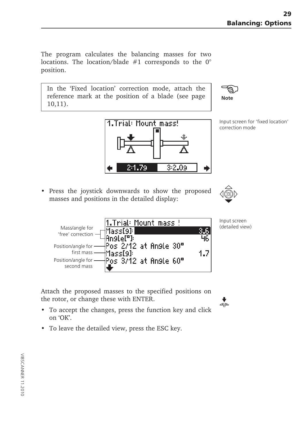The program calculates the balancing masses for two locations. The location/blade  $#1$  corresponds to the 0° position.

In the 'Fixed location' correction mode, attach the reference mark at the position of a blade (see page 10,11).

![](_page_28_Picture_3.jpeg)

![](_page_28_Picture_4.jpeg)

Input screen for 'fixed location' correction mode

• Press the joystick downwards to show the proposed masses and positions in the detailed display:

![](_page_28_Picture_7.jpeg)

1.Trial: Mount mass ! Mass/angle for Mass[9]: 3.6 'free' correction Anstel"): 46 Pos 2/12 at Angle 30° Position/angle for first mass Mass[9]: 1.7 Position/angle for Pos 3/12 at Angle 60° second mass

Input screen (detailed view)

 $\overset{\blacklozenge}{\Rightarrow}$ 

Attach the proposed masses to the specified positions on the rotor, or change these with ENTER.

- To accept the changes, press the function key and click on 'OK'.
- To leave the detailed view, press the ESC key.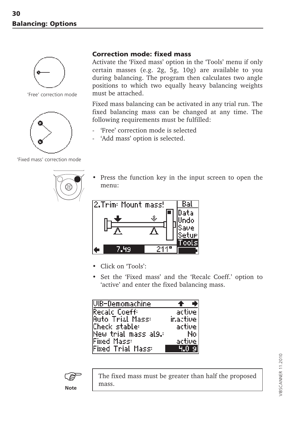<span id="page-29-0"></span>![](_page_29_Picture_1.jpeg)

'Free' correction mode

![](_page_29_Picture_3.jpeg)

'Fixed mass' correction mode

# **Correction mode: fixed mass**

Activate the 'Fixed mass' option in the 'Tools' menu if only certain masses (e.g. 2g, 5g, 10g) are available to you during balancing. The program then calculates two angle positions to which two equally heavy balancing weights must be attached.

Fixed mass balancing can be activated in any trial run. The fixed balancing mass can be changed at any time. The following requirements must be fulfilled:

- 'Free' correction mode is selected
- 'Add mass' option is selected.
- Press the function key in the input screen to open the menu:

![](_page_29_Picture_12.jpeg)

- Click on 'Tools':
- Set the 'Fixed mass' and the 'Recalc Coeff.' option to 'active' and enter the fixed balancing mass.

| <u> WB-Demomachine</u> |           |
|------------------------|-----------|
| Recalc Coeff:          | activel   |
| Auto Trial Mass:       | inactive. |
| Check stable:          | active:   |
| New trial mass al9.:   | No l      |
| Fixed Mass:            | active:   |
| Fixed Trial Mass:      | 4.09      |

![](_page_29_Picture_16.jpeg)

The fixed mass must be greater than half the proposed mass.

/IBSCANNER 11.2010 VIBSCANNER 11.2010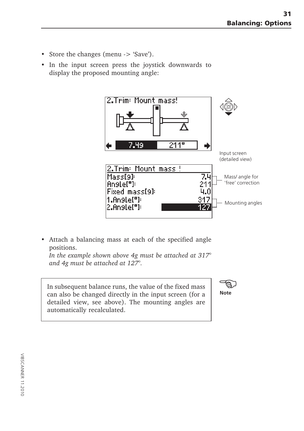- Store the changes (menu -> 'Save').
- In the input screen press the joystick downwards to display the proposed mounting angle:

![](_page_30_Figure_3.jpeg)

• Attach a balancing mass at each of the specified angle positions.

*In the example shown above 4g must be attached at 317° and 4g must be attached at 127°.*

In subsequent balance runs, the value of the fixed mass can also be changed directly in the input screen (for a detailed view, see above). The mounting angles are automatically recalculated.

![](_page_30_Picture_7.jpeg)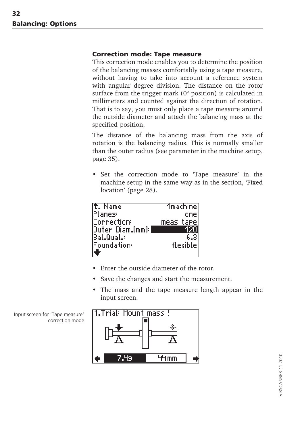#### <span id="page-31-0"></span>**Correction mode: Tape measure**

This correction mode enables you to determine the position of the balancing masses comfortably using a tape measure, without having to take into account a reference system with angular degree division. The distance on the rotor surface from the trigger mark (0° position) is calculated in millimeters and counted against the direction of rotation. That is to say, you must only place a tape measure around the outside diameter and attach the balancing mass at the specified position.

The distance of the balancing mass from the axis of rotation is the balancing radius. This is normally smaller than the outer radius (see parameter in the machine setup, page 35).

• Set the correction mode to 'Tape measure' in the machine setup in the same way as in the section, 'Fixed location' (page 28).

| f. Name          | 1machine) |
|------------------|-----------|
| lPlanes:         | one       |
| Correction:      | meas tare |
| Outer Diam.[mm]: | ٩M        |
| lBal.Qual.∶      | 6.З       |
| Foundation:      | flexible] |
|                  |           |

- Enter the outside diameter of the rotor.
- Save the changes and start the measurement.
- The mass and the tape measure length appear in the input screen.

![](_page_31_Figure_9.jpeg)

Input screen for 'Tape measure' correction mode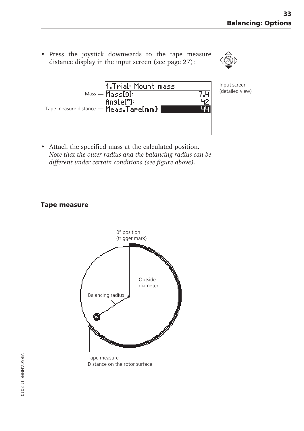• Press the joystick downwards to the tape measure distance display in the input screen (see page 27):

![](_page_32_Picture_2.jpeg)

![](_page_32_Figure_3.jpeg)

Input screen<br>(detailed view)

• Attach the specified mass at the calculated position. *Note that the outer radius and the balancing radius can be different under certain conditions (see figure above).*

#### **Tape measure**

![](_page_32_Figure_7.jpeg)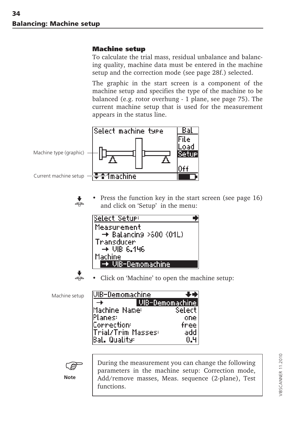#### <span id="page-33-0"></span>**Machine setup**

To calculate the trial mass, residual unbalance and balancing quality, machine data must be entered in the machine setup and the correction mode (see page 28f.) selected.

The graphic in the start screen is a component of the machine setup and specifies the type of the machine to be balanced (e.g. rotor overhung - 1 plane, see page 75). The current machine setup that is used for the measurement appears in the status line.

![](_page_33_Figure_4.jpeg)

Press the function key in the start screen (see page 16) and click on 'Setup' in the menu:

| Select Setue:                      |  |
|------------------------------------|--|
| Measurement                        |  |
| $\rightarrow$ Balancing >800 (01L) |  |
| Transducer                         |  |
| $\rightarrow$ UIR 6.196            |  |
| Machine                            |  |
| ∙ VIB-Demomachine                  |  |
|                                    |  |

![](_page_33_Picture_7.jpeg)

Machine setup

• Click on 'Machine' to open the machine setup:

| UIB-Demomachine    |                 |
|--------------------|-----------------|
|                    | UIB-Demomachine |
| Machine Name:      | Select          |
| Planes:            | one             |
| Correction:        | free            |
| Trial/Trim Masses: | add             |
| Bal. Quality:      | N.H             |

![](_page_33_Picture_10.jpeg)

**Note**

During the measurement you can change the following parameters in the machine setup: Correction mode, Add/remove masses, Meas. sequence (2-plane), Test functions.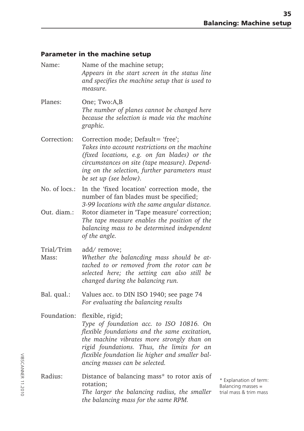# **Parameter in the machine setup**

| Name:                        | Name of the machine setup;<br>Appears in the start screen in the status line<br>and specifies the machine setup that is used to<br>measure.                                                                                                                                                               |
|------------------------------|-----------------------------------------------------------------------------------------------------------------------------------------------------------------------------------------------------------------------------------------------------------------------------------------------------------|
| Planes:                      | One; Two:A,B<br>The number of planes cannot be changed here<br>because the selection is made via the machine<br>graphic.                                                                                                                                                                                  |
| Correction:                  | Correction mode; Default= 'free';<br>Takes into account restrictions on the machine<br>(fixed locations, e.g. on fan blades) or the<br>circumstances on site (tape measure). Depend-<br>ing on the selection, further parameters must<br>be set up (see below).                                           |
| No. of locs.:<br>Out. diam.: | In the 'fixed location' correction mode, the<br>number of fan blades must be specified;<br>3-99 locations with the same angular distance.<br>Rotor diameter in 'Tape measure' correction;<br>The tape measure enables the position of the<br>balancing mass to be determined independent<br>of the angle. |
| Trial/Trim<br>Mass:          | add/ remove;<br>Whether the balancding mass should be at-<br>tached to or removed from the rotor can be<br>selected here; the setting can also still be<br>changed during the balancing run.                                                                                                              |
| Bal. qual.:                  | Values acc. to DIN ISO 1940; see page 74<br>For evaluating the balancing results                                                                                                                                                                                                                          |
| Foundation:                  | flexible, rigid;<br>Type of foundation acc. to ISO 10816. On<br>flexible foundations and the same excitation,<br>the machine vibrates more strongly than on<br>rigid foundations. Thus, the limits for an<br>flexible foundation lie higher and smaller bal-<br>ancing masses can be selected.            |
| Radius:                      | Distance of balancing mass* to rotor axis of<br>rotation:<br>The larger the balancing radius, the smaller<br>the balancing mass for the same RPM.                                                                                                                                                         |

\* Explanation of term: Balancing masses = trial mass & trim mass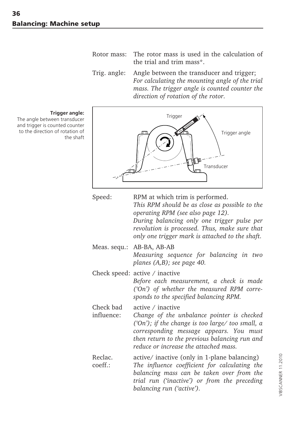- Rotor mass: The rotor mass is used in the calculation of the trial and trim mass\*.
- Trig. angle: Angle between the transducer and trigger; *For calculating the mounting angle of the trial mass. The trigger angle is counted counter the direction of rotation of the rotor.*

![](_page_35_Figure_3.jpeg)

| Speed:                  | RPM at which trim is performed.<br>This RPM should be as close as possible to the<br>operating RPM (see also page 12).<br>During balancing only one trigger pulse per<br>revolution is processed. Thus, make sure that<br>only one trigger mark is attached to the shaft. |
|-------------------------|---------------------------------------------------------------------------------------------------------------------------------------------------------------------------------------------------------------------------------------------------------------------------|
| Meas. sequ.:            | AB-BA, AB-AB<br>Measuring sequence for balancing in two<br>planes (A,B); see page 40.                                                                                                                                                                                     |
|                         | Check speed: $active / inactive$<br>Before each measurement, a check is made<br>('On') of whether the measured RPM corre-<br>sponds to the specified balancing RPM.                                                                                                       |
| Check bad<br>influence: | active $\angle$ inactive<br>Change of the unbalance pointer is checked<br>('On'); if the change is too large/ too small, a<br>corresponding message appears. You must<br>then return to the previous balancing run and<br>reduce or increase the attached mass.           |
| Reclac.<br>coeff.:      | active/ inactive (only in 1-plane balancing)<br>The influence coefficient for calculating the<br>balancing mass can be taken over from the<br>trial run ('inactive') or from the preceding<br>balancing run ('active').                                                   |

#### **Trigger angle:**

The angle between transducer and trigger is counted counter to the direction of rotation of the shaft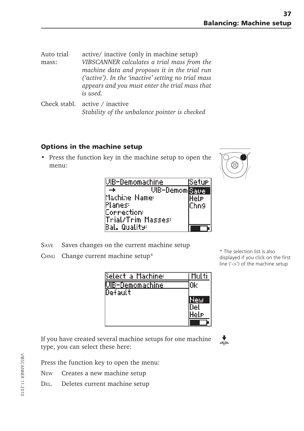Auto trial active/ inactive (only in machine setup) mass: *VIBSCANNER calculates a trial mass from the machine data and proposes it in the trial run ('active'). In the 'inactive' setting no trial mass appears and you must enter the trial mass that is used.*

Check stabl. active / inactive *Stability of the unbalance pointer is checked*

## **Options in the machine setup**

• Press the function key in the machine setup to open the menu:

| WB-Demomachine        | lSetur |
|-----------------------|--------|
| <b>VIB-Demom</b> Save |        |
| Machine Name:         | Hele   |
| <b>Planes:</b>        | lChn9  |
| Correction:           |        |
| Trial/Trim Masses:    |        |
| Bal. Quality:         |        |

- SAVE Saves changes on the current machine setup
- CHNG Change current machine setup\*

| Select a Machine:        | -Multi |
|--------------------------|--------|
| <u> UIB-Demomachine.</u> | Ωk     |
| Default                  |        |
|                          | New    |
|                          |        |
|                          | lele   |
|                          |        |

If you have created several machine setups for one machine type, you can select these here:

Press the function key to open the menu:

- NEW Creates a new machine setup
- DEL. Deletes current machine setup



\* The selection list is also displayed if you click on the first line ('->') of the machine setup

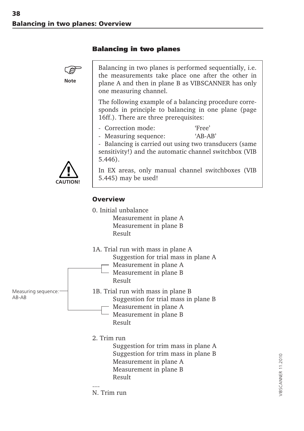#### **Balancing in two planes**



Balancing in two planes is performed sequentially, i.e. the measurements take place one after the other in plane A and then in plane B as VIBSCANNER has only one measuring channel.

The following example of a balancing procedure corresponds in principle to balancing in one plane (page 16ff.). There are three prerequisites:

- Correction mode: 'Free'
- Measuring sequence: 'AB-AB'

- Balancing is carried out using two transducers (same sensitivity!) and the automatic channel switchbox (VIB 5.446).

**CAUTION!**

In EX areas, only manual channel switchboxes (VIB 5.445) may be used!

#### **Overview**

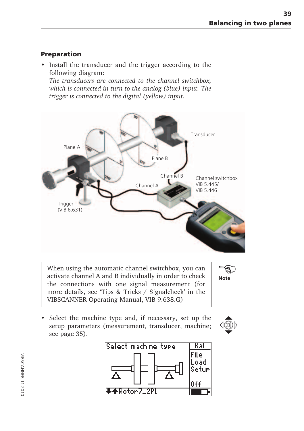# **Preparation**

• Install the transducer and the trigger according to the following diagram:

*The transducers are connected to the channel switchbox, which is connected in turn to the analog (blue) input. The trigger is connected to the digital (yellow) input.*



When using the automatic channel switchbox, you can activate channel A and B individually in order to check the connections with one signal measurement (for more details, see 'Tips & Tricks / Signalcheck' in the VIBSCANNER Operating Manual, VIB 9.638.G)



• Select the machine type and, if necessary, set up the setup parameters (measurement, transducer, machine; see page 35).



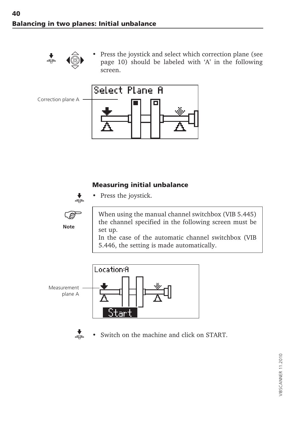

Press the joystick and select which correction plane (see page 10) should be labeled with 'A' in the following screen.



#### **Measuring initial unbalance**



**Note** ි • Press the joystick.

When using the manual channel switchbox (VIB 5.445) the channel specified in the following screen must be set up.

In the case of the automatic channel switchbox (VIB 5.446, the setting is made automatically.





Switch on the machine and click on START.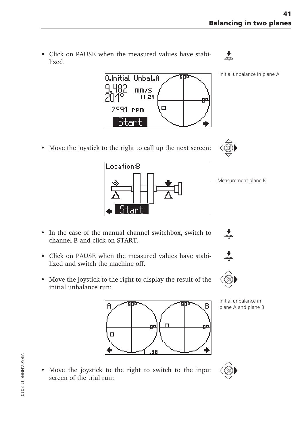• Click on PAUSE when the measured values have stabi- • lized.

**J.Initial Unbal.A** 

 $mm/s$  $11.24$ 

 $\Box$ 



Initial unbalance in plane A



2991 rem

'ar t



 $\stackrel{\bullet}{\Rightarrow}$ 

.ocation:B Measurement plane B

904

- In the case of the manual channel switchbox, switch to channel B and click on START.
- Click on PAUSE when the measured values have stabi- lized and switch the machine off.
- Move the joystick to the right to display the result of the initial unbalance run:



Initial unbalance in plane A and plane B



• Move the joystick to the right to switch to the input screen of the trial run: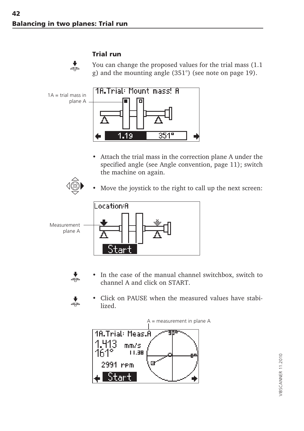# $\stackrel{\blacklozenge}{\Rightarrow}$

#### **Trial run**

You can change the proposed values for the trial mass (1.1 g) and the mounting angle (351°) (see note on page 19).

<u> 18.Trial: Mount mass! A</u>  $1A = \text{trial mass in}$ plane A  $351^{\circ}$ -19

• Attach the trial mass in the correction plane A under the specified angle (see Angle convention, page 11); switch the machine on again.



Move the joystick to the right to call up the next screen:



- $\dot{\,}$
- In the case of the manual channel switchbox, switch to channel A and click on START.



• Click on PAUSE when the measured values have stabilized.

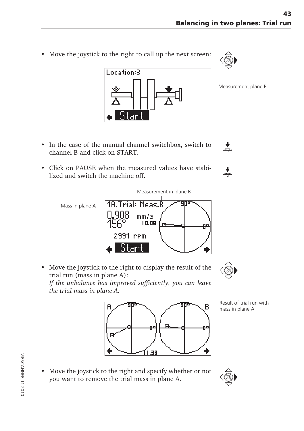Location:B Measurement plane B

Measurement in plane B

- In the case of the manual channel switchbox, switch to channel B and click on START.
- Click on PAUSE when the measured values have stabilized and switch the machine off.
	- -18.Trial: Meas.B Mass in plane A -N.908  $mm/s$  $10.09$ 2991 rem tart
- Move the joystick to the right to display the result of the trial run (mass in plane A):

*If the unbalance has improved sufficiently, you can leave the trial mass in plane A:*



Result of trial run with mass in plane A

*•* Move the joystick to the right and specify whether or not you want to remove the trial mass in plane A.









В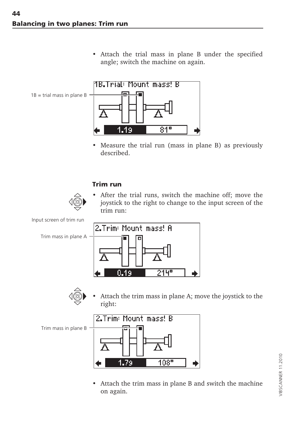• Attach the trial mass in plane B under the specified angle; switch the machine on again.



• Measure the trial run (mass in plane B) as previously described.

#### **Trim run**

• After the trial runs, switch the machine off; move the joystick to the right to change to the input screen of the trim run:





Attach the trim mass in plane A; move the joystick to the right:



• Attach the trim mass in plane B and switch the machine on again.

Input screen of trim run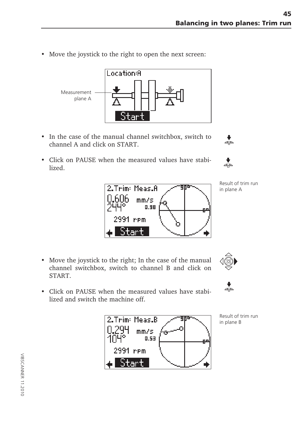• Move the joystick to the right to open the next screen:



- In the case of the manual channel switchbox, switch to channel A and click on START.
- Click on PAUSE when the measured values have stabilized.





- Move the joystick to the right; In the case of the manual channel switchbox, switch to channel B and click on START.
- Click on PAUSE when the measured values have stabilized and switch the machine off.



Result of trim run in plane B





 $\overline{\mathbf{t}}$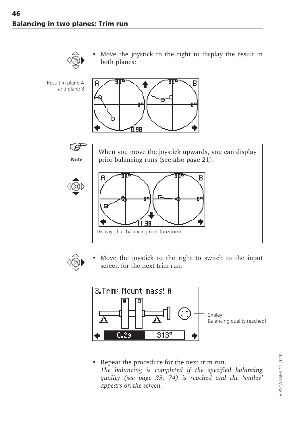

• Move the joystick to the right to display the result in both planes:









When you move the joystick upwards, you can display prior balancing runs (see also page 21).





Move the joystick to the right to switch to the input screen for the next trim run:



• Repeat the procedure for the next trim run. *The balancing is completed if the specified balancing quality (see page 35, 74) is reached and the 'smiley' appears on the screen.*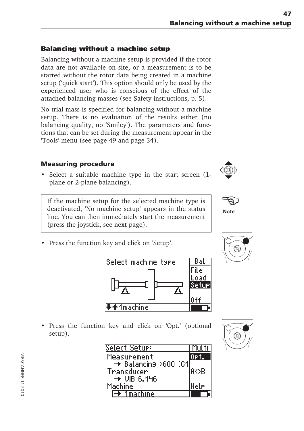# **Balancing without a machine setup**

Balancing without a machine setup is provided if the rotor data are not available on site, or a measurement is to be started without the rotor data being created in a machine setup ('quick start'). This option should only be used by the experienced user who is conscious of the effect of the attached balancing masses (see Safety instructions, p. 5).

No trial mass is specified for balancing without a machine setup. There is no evaluation of the results either (no balancing quality, no 'Smiley'). The parameters and functions that can be set during the measurement appear in the 'Tools' menu (see page 49 and page 34).

# **Measuring procedure**

• Select a suitable machine type in the start screen (1 plane or 2-plane balancing).

If the machine setup for the selected machine type is deactivated, 'No machine setup' appears in the status line. You can then immediately start the measurement (press the joystick, see next page).

• Press the function key and click on 'Setup'.



• Press the function key and click on 'Opt.' (optional setup).

| Select Setue:                         | -Multi      |
|---------------------------------------|-------------|
| Measurement                           |             |
| $\rightarrow$ Balancing >600 (01      | lA⇔B        |
| Transducer<br>$\rightarrow$ UIR 6.146 |             |
| Machine                               | <b>Hele</b> |
| Imachine                              |             |







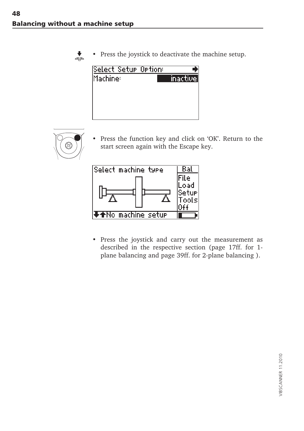$\overline{\phantom{a}}$ 

Press the joystick to deactivate the machine setup.

| Select Setur Ortion: |                                  |
|----------------------|----------------------------------|
| lMachine:            | $^{\prime}$ inactive $\parallel$ |
|                      |                                  |
|                      |                                  |
|                      |                                  |
|                      |                                  |



Press the function key and click on 'OK'. Return to the start screen again with the Escape key.



• Press the joystick and carry out the measurement as described in the respective section (page 17ff. for 1 plane balancing and page 39ff. for 2-plane balancing ).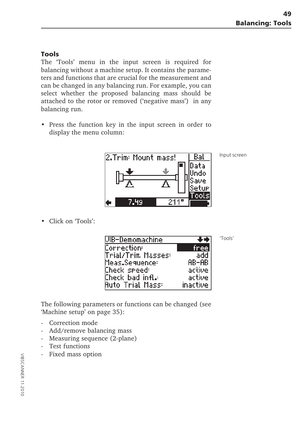#### **Tools**

The 'Tools' menu in the input screen is required for balancing without a machine setup. It contains the parameters and functions that are crucial for the measurement and can be changed in any balancing run. For example, you can select whether the proposed balancing mass should be attached to the rotor or removed ('negative mass') in any balancing run.

• Press the function key in the input screen in order to display the menu column:



Input screen

'Tools'

| <b>WB-Demomachine</b> |          |
|-----------------------|----------|
| Correction:           | [free]   |
| Trial/Trim Masses:    | add.     |
| Meas.Seguence:        | AB-AB    |
| Check speed:          | active   |
| Check bad infl.:      | active   |
| Auto Trial Mass:      | inactive |

The following parameters or functions can be changed (see 'Machine setup' on page 35):

- Correction mode

• Click on 'Tools':

- Add/remove balancing mass
- Measuring sequence (2-plane)
- Test functions
- Fixed mass option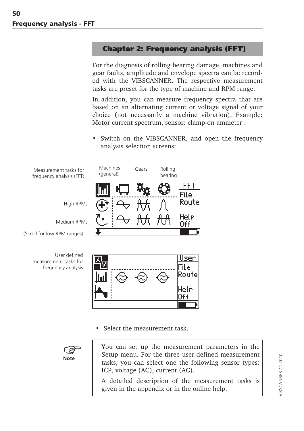## **Chapter 2: Frequency analysis (FFT)**

For the diagnosis of rolling bearing damage, machines and gear faults, amplitude and envelope spectra can be recorded with the VIBSCANNER. The respective measurement tasks are preset for the type of machine and RPM range.

In addition, you can measure frequency spectra that are based on an alternating current or voltage signal of your choice (not necessarily a machine vibration). Example: Motor current spectrum, sensor: clamp-on ammeter .

• Switch on the VIBSCANNER, and open the frequency analysis selection screens:



Select the measurement task.



You can set up the measurement parameters in the Setup menu. For the three user-defined measurement tasks, you can select one the following sensor types: ICP, voltage (AC), current (AC).

A detailed description of the measurement tasks is given in the appendix or in the online help.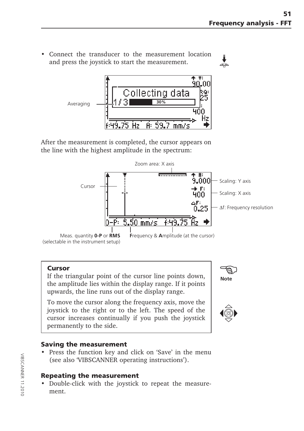• Connect the transducer to the measurement location and press the joystick to start the measurement.



After the measurement is completed, the cursor appears on the line with the highest amplitude in the spectrum:



#### **Cursor**

If the triangular point of the cursor line points down, the amplitude lies within the display range. If it points upwards, the line runs out of the display range.

To move the cursor along the frequency axis, move the joystick to the right or to the left. The speed of the cursor increases continually if you push the joystick permanently to the side.

#### **Saving the measurement**

• Press the function key and click on 'Save' in the menu (see also 'VIBSCANNER operating instructions').

#### **Repeating the measurement**

• Double-click with the joystick to repeat the measurement.



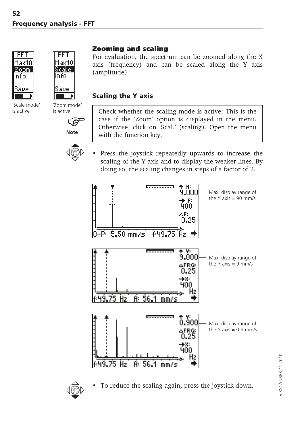

´Scale mode' is active



´Zoom mode' is active

**Note**



## **Zooming and scaling**

For evaluation, the spectrum can be zoomed along the X axis (frequency) and can be scaled along the Y axis (amplitude).

#### **Scaling the Y axis**

Check whether the scaling mode is active: This is the case if the 'Zoom' option is displayed in the menu. Otherwise, click on 'Scal.' (scaling). Open the menu with the function key.

Press the joystick repeatedly upwards to increase the scaling of the Y axis and to display the weaker lines. By doing so, the scaling changes in steps of a factor of 2.





To reduce the scaling again, press the joystick down.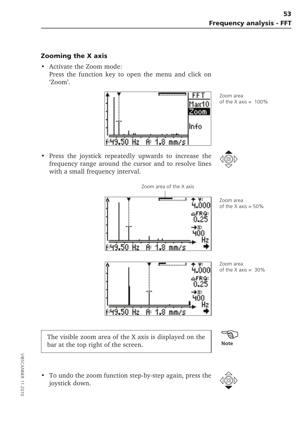## **Zooming the X axis**

• Activate the Zoom mode: Press the function key to open the menu and click on 'Zoom'.



Zoom area of the  $X$  axis =  $100\%$ 

• Press the joystick repeatedly upwards to increase the frequency range around the cursor and to resolve lines with a small frequency interval.



The visible zoom area of the X axis is displayed on the bar at the top right of the screen.

- -\$)
- To undo the zoom function step-by-step again, press the joystick down.

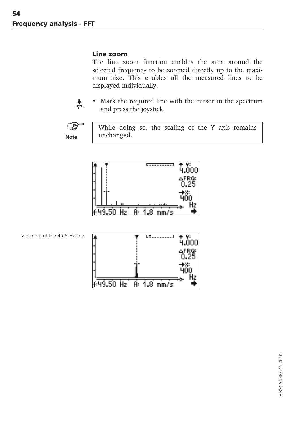#### **Line zoom**

The line zoom function enables the area around the selected frequency to be zoomed directly up to the maximum size. This enables all the measured lines to be displayed individually.



Mark the required line with the cursor in the spectrum and press the joystick.



While doing so, the scaling of the Y axis remains unchanged.



Zooming of the 49.5 Hz line

|               |                               | ψ.<br>nnni   |
|---------------|-------------------------------|--------------|
|               | Ñ.                            | ∴AFRQ<br>-25 |
|               |                               | 78.          |
| А.<br>a.<br>z | $\mathbf{R}^{\prime}$<br>mm/s | E            |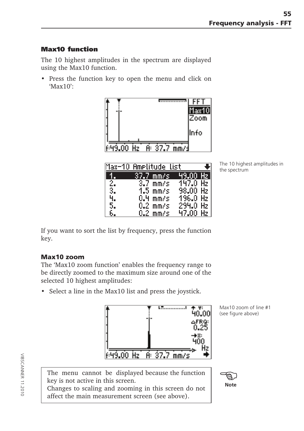## **Max10 function**

The 10 highest amplitudes in the spectrum are displayed using the Max10 function.

• Press the function key to open the menu and click on  $^{\circ}$ Max10 $^{\circ}$ 



|     | Max-10 Amelitude list. |                  |        |
|-----|------------------------|------------------|--------|
|     | <u>137.7 mm/s ,</u>    | 49.00            | . Hz I |
| 2.  | $3.7~\mathrm{mm/s}$ .  | -147.0 Hz        |        |
| 3.1 | $1.5~\mathrm{mm/s}$    | 98.00 Hz $ $     |        |
|     | $0.4 \,$ mm/s.         | 196.0 Hz         |        |
| 5.  | $0.2 \,$ mm/s $\,$     | $294.0$ Hz       |        |
|     | $0.2$ mm/s             | $47.00$ Hz $\pm$ |        |

The 10 highest amplitudes in the spectrum

If you want to sort the list by frequency, press the function key.

#### **Max10 zoom**

The 'Max10 zoom function' enables the frequency range to be directly zoomed to the maximum size around one of the selected 10 highest amplitudes:

• Select a line in the Max10 list and press the joystick.



Max10 zoom of line #1 (see figure above)

The menu cannot be displayed because the function key is not active in this screen.

Changes to scaling and zooming in this screen do not affect the main measurement screen (see above).

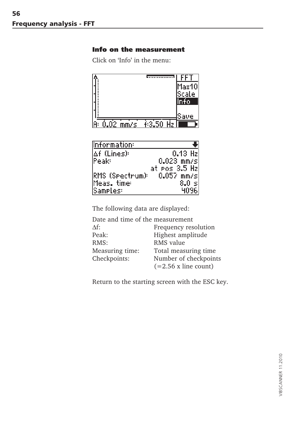#### **Info on the measurement**

Click on 'Info' in the menu:



| Information:               |                   |
|----------------------------|-------------------|
| l∆f (Lines):               | $0.13$ Hz         |
| Peak:                      | $0.023$ mm/s      |
|                            | at Pos 3.5 Hzl    |
| RMS (Spectrum): 0.057 mm/s |                   |
| Meas, time:                | $8.0 \mathrm{~s}$ |
| Sameles:                   | 4096              |

The following data are displayed:

| Date and time of the measurement |                             |
|----------------------------------|-----------------------------|
| $\Delta f$ :                     | Frequency resolution        |
| Peak:                            | Highest amplitude           |
| RMS:                             | RMS value                   |
| Measuring time:                  | Total measuring time        |
| Checkpoints:                     | Number of checkpoints       |
|                                  | $(=2.56 \times line count)$ |

Return to the starting screen with the ESC key.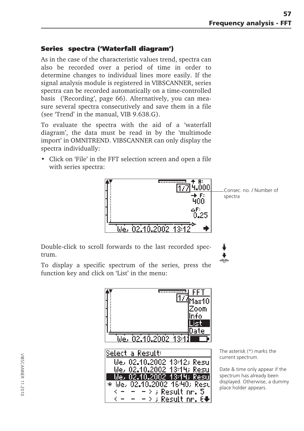### **Series spectra ('Waterfall diagram')**

As in the case of the characteristic values trend, spectra can also be recorded over a period of time in order to determine changes to individual lines more easily. If the signal analysis module is registered in VIBSCANNER, series spectra can be recorded automatically on a time-controlled basis ('Recording', page 66). Alternatively, you can measure several spectra consecutively and save them in a file (see 'Trend' in the manual, VIB 9.638.G).

To evaluate the spectra with the aid of a 'waterfall diagram', the data must be read in by the 'multimode import' in OMNITREND. VIBSCANNER can only display the spectra individually:

• Click on 'File' in the FFT selection screen and open a file with series spectra:



j  $\frac{1}{4}$ 

Double-click to scroll forwards to the last recorded spectrum.

To display a specific spectrum of the series, press the function key and click on 'List' in the menu:



The asterisk (\*) marks the current spectrum.

Date & time only appear if the spectrum has already been displayed. Otherwise, a dummy place holder appears.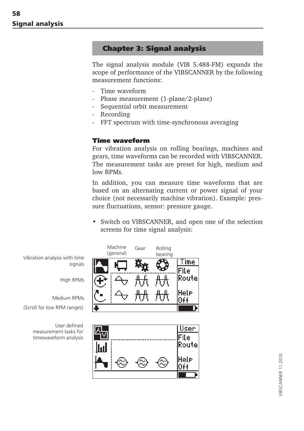### **Chapter 3: Signal analysis**

The signal analysis module (VIB 5.488-FM) expands the scope of performance of the VIBSCANNER by the following measurement functions:

- Time waveform
- Phase measurement (1-plane/2-plane)
- Sequential orbit measurement
- Recording
- FFT spectrum with time-synchronous averaging

#### **Time waveform**

For vibration analysis on rolling bearings, machines and gears, time waveforms can be recorded with VIBSCANNER. The measurement tasks are preset for high, medium and low RPMs.

In addition, you can measure time waveforms that are based on an alternating current or power signal of your choice (not necessarily machine vibration). Example: pressure fluctuations, sensor: pressure gauge.

• Switch on VIBSCANNER, and open one of the selection screens for time signal analysis:

> **Time** File Route

Ĥ€€

bearing



User defined measurement tasks for timewaveform analysis

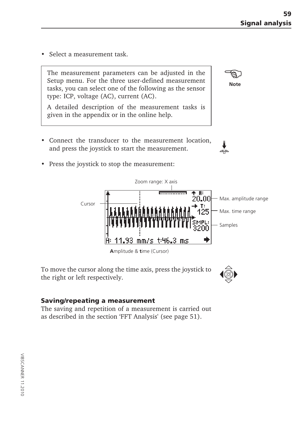• Select a measurement task.

The measurement parameters can be adjusted in the Setup menu. For the three user-defined measurement tasks, you can select one of the following as the sensor type: ICP, voltage (AC), current (AC).

A detailed description of the measurement tasks is given in the appendix or in the online help.

• Connect the transducer to the measurement location, and press the joystick to start the measurement.

Zoom range: X axis

mm/s t:46.3 ms

• Press the joystick to stop the measurement:

Cursor



93

**A**mplitude & **t**ime (Cursor)

#### **Saving/repeating a measurement**

The saving and repetition of a measurement is carried out as described in the section 'FFT Analysis' (see page 51).



**Note**

ాక్టు

 $\overline{B}$ 20.00 T:

Max. amplitude range

Max. time range

Samples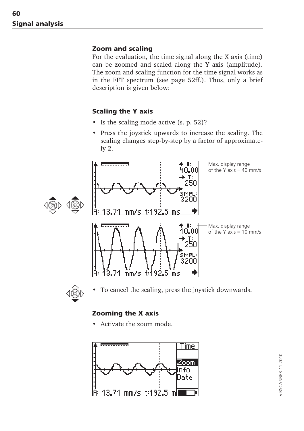#### **Zoom and scaling**

For the evaluation, the time signal along the X axis (time) can be zoomed and scaled along the Y axis (amplitude). The zoom and scaling function for the time signal works as in the FFT spectrum (see page 52ff.). Thus, only a brief description is given below:

#### **Scaling the Y axis**

- Is the scaling mode active (s. p. 52)?
- Press the joystick upwards to increase the scaling. The scaling changes step-by-step by a factor of approximately 2.





To cancel the scaling, press the joystick downwards.

#### **Zooming the X axis**

• Activate the zoom mode.

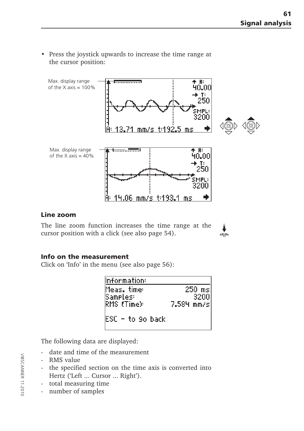- Max. display range  $\overline{B}$ of the  $X$  axis = 100% 40.00 T: 50 200 lA mm/s t:192.5 Max. display range <u> 1. . . . . . . . <del>. . . . .</del> .</u>  $+$   $R$ of the  $X$  axis =  $40\%$ 40.00 4.06 mm/s t:193.1 ms
- Press the joystick upwards to increase the time range at the cursor position:

#### **Line zoom**

The line zoom function increases the time range at the cursor position with a click (see also page 54).

#### **Info on the measurement**

Click on 'Info' in the menu (see also page 56):

| Information:            |                  |
|-------------------------|------------------|
| Meas. time:<br>sameles: | $250$ ms<br>3200 |
| RMS (Time):             | 7.584 mm/s       |
| IESC – to 9o back       |                  |

The following data are displayed:

- date and time of the measurement
- RMS value
- the specified section on the time axis is converted into Hertz ('Left ... Cursor ... Right').
- total measuring time
- number of samples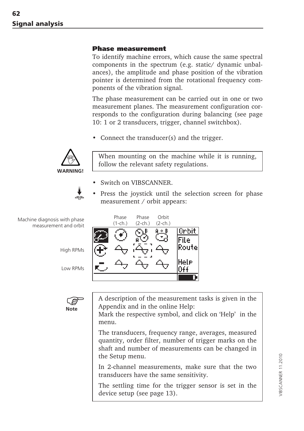#### **Phase measurement**

To identify machine errors, which cause the same spectral components in the spectrum (e.g. static/ dynamic unbalances), the amplitude and phase position of the vibration pointer is determined from the rotational frequency components of the vibration signal.

The phase measurement can be carried out in one or two measurement planes. The measurement configuration corresponds to the configuration during balancing (see page 10: 1 or 2 transducers, trigger, channel switchbox).

• Connect the transducer(s) and the trigger.



When mounting on the machine while it is running, follow the relevant safety regulations.

- Switch on VIBSCANNER.
- Press the joystick until the selection screen for phase measurement / orbit appears:



Machine diagnosis with phase measurement and orbit

High RPMs

Low RPMs



A description of the measurement tasks is given in the Appendix and in the online Help:

Mark the respective symbol, and click on 'Help' in the menu.

The transducers, frequency range, averages, measured quantity, order filter, number of trigger marks on the shaft and number of measurements can be changed in the Setup menu.

In 2-channel measurements, make sure that the two transducers have the same sensitivity.

The settling time for the trigger sensor is set in the device setup (see page 13).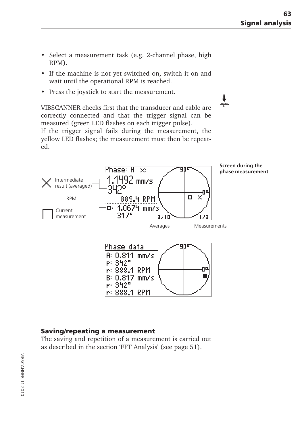$\frac{1}{\Phi}$ 

- Select a measurement task (e.g. 2-channel phase, high RPM).
- If the machine is not yet switched on, switch it on and wait until the operational RPM is reached.
- Press the joystick to start the measurement.

VIBSCANNER checks first that the transducer and cable are correctly connected and that the trigger signal can be measured (green LED flashes on each trigger pulse).

If the trigger signal fails during the measurement, the yellow LED flashes; the measurement must then be repeated.



#### **Saving/repeating a measurement**

The saving and repetition of a measurement is carried out as described in the section 'FFT Analysis' (see page 51).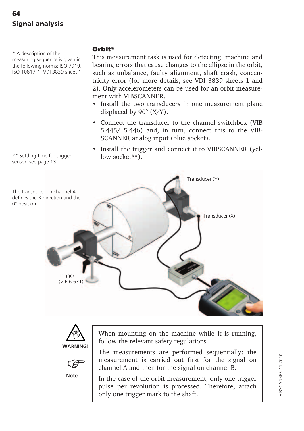\* A description of the measuring sequence is given in the following norms: ISO 7919, ISO 10817-1, VDI 3839 sheet 1.

\*\* Settling time for trigger sensor: see page 13.

#### **Orbit\***

This measurement task is used for detecting machine and bearing errors that cause changes to the ellipse in the orbit, such as unbalance, faulty alignment, shaft crash, concentricity error (for more details, see VDI 3839 sheets 1 and 2). Only accelerometers can be used for an orbit measurement with VIBSCANNER.

- Install the two transducers in one measurement plane displaced by 90° (X/Y).
- Connect the transducer to the channel switchbox (VIB 5.445/ 5.446) and, in turn, connect this to the VIB-SCANNER analog input (blue socket).
- Install the trigger and connect it to VIBSCANNER (yellow socket\*\*).







When mounting on the machine while it is running, follow the relevant safety regulations.

The measurements are performed sequentially: the measurement is carried out first for the signal on channel A and then for the signal on channel B.

In the case of the orbit measurement, only one trigger pulse per revolution is processed. Therefore, attach only one trigger mark to the shaft.

/IBSCANNER 11.2010 VIBSCANNER 11.2010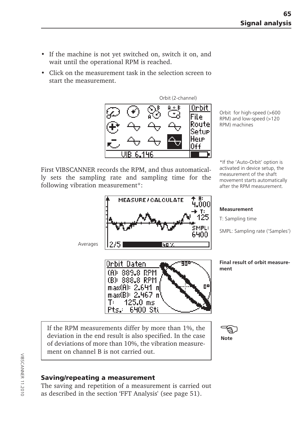- If the machine is not yet switched on, switch it on, and wait until the operational RPM is reached.
- Click on the measurement task in the selection screen to start the measurement.



Orbit for high-speed (>600 RPM) and low-speed (>120 RPM) machines

First VIBSCANNER records the RPM, and thus automatically sets the sampling rate and sampling time for the following vibration measurement\*:

\*If the 'Auto-Orbit' option is activated in device setup, the measurement of the shaft movement starts automatically after the RPM measurement.



If the RPM measurements differ by more than 1%, the deviation in the end result is also specified. In the case of deviations of more than 10%, the vibration measurement on channel B is not carried out.



#### **Saving/repeating a measurement**

The saving and repetition of a measurement is carried out as described in the section 'FFT Analysis' (see page 51).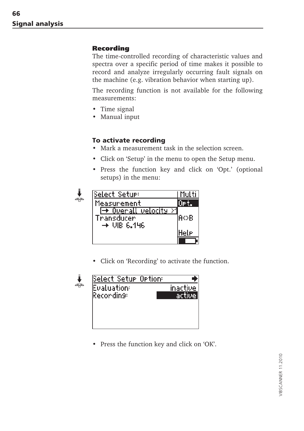#### **Recording**

The time-controlled recording of characteristic values and spectra over a specific period of time makes it possible to record and analyze irregularly occurring fault signals on the machine (e.g. vibration behavior when starting up).

The recording function is not available for the following measurements:

- Time signal
- Manual input

#### **To activate recording**

- Mark a measurement task in the selection screen.
- Click on 'Setup' in the menu to open the Setup menu.
- Press the function key and click on 'Opt.' (optional setups) in the menu:

| Select Setue:                                                               | Multi |
|-----------------------------------------------------------------------------|-------|
| Measurement                                                                 | UPt.  |
| <u> → Overall velocity</u><br>- 21<br>Transducer<br>$\rightarrow$ UIB 6.146 | lA⇔B  |
|                                                                             | Hele  |
|                                                                             |       |

• Click on 'Recording' to activate the function.



• Press the function key and click on 'OK'.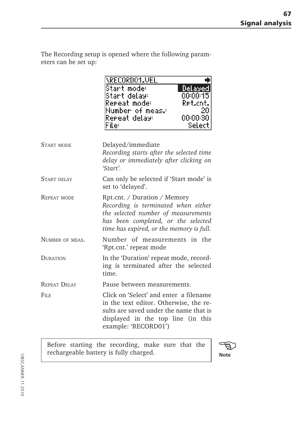The Recording setup is opened where the following parameters can be set up:

|                     | \RECORDO1.VEL<br>Start mode:<br>Delayed<br>00:00:15<br>Start delay:<br>Repeat mode:<br>Ret.cnt.<br>Number of meas.<br>20<br>Remeat delay:<br>00:00:30<br>Filer<br>Select                      |
|---------------------|-----------------------------------------------------------------------------------------------------------------------------------------------------------------------------------------------|
| <b>START MODE</b>   | Delayed/immediate<br>Recording starts after the selected time<br>delay or immediately after clicking on<br>'Start'.                                                                           |
| START DELAY         | Can only be selected if 'Start mode' is<br>set to 'delayed'.                                                                                                                                  |
| REPEAT MODE         | Rpt.cnt. / Duration / Memory<br>Recording is terminated when either<br>the selected number of measurements<br>has been completed, or the selected<br>time has expired, or the memory is full. |
| NUMBER OF MEAS.     | Number of measurements in the<br>'Rpt.cnt.' repeat mode                                                                                                                                       |
| <b>DURATION</b>     | In the 'Duration' repeat mode, record-<br>ing is terminated after the selected<br>time.                                                                                                       |
| <b>REPEAT DELAY</b> | Pause between measurements.                                                                                                                                                                   |
| $F_{\rm ILE}$       | Click on 'Select' and enter a filename<br>in the text editor. Otherwise, the re-<br>sults are saved under the name that is<br>displayed in the top line (in this<br>example: 'RECORD01')      |

Before starting the recording, make sure that the rechargeable battery is fully charged. **Note Note** 

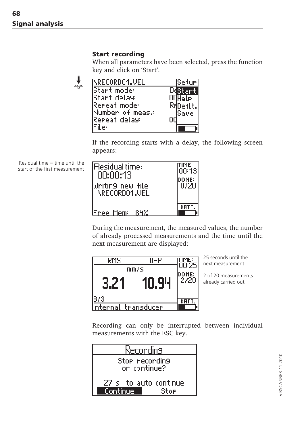#### **Start recording**

When all parameters have been selected, press the function key and click on 'Start'.

| NRECORDO¶JUEI     | lSetur   |
|-------------------|----------|
| Start mode:       |          |
| Start dalay:      | Hele i   |
| Repeat mode:      | R#Deftt. |
| Number of meas.   | lSave    |
| Repeat delay:     |          |
| $\epsilon$ ile: l |          |

If the recording starts with a delay, the following screen appears:

Residual time  $=$  time until the start of the first measurement

k

| l:Residual time :<br>00:00:13<br>lWritin9 new file<br>\RFCNRNA1.UFL | TIME:<br> 00:13 <br>DONE:<br>0/20 |
|---------------------------------------------------------------------|-----------------------------------|
| Free Mem: 84%                                                       |                                   |

During the measurement, the measured values, the number of already processed measurements and the time until the next measurement are displayed:



25 seconds until the next measurement

2 of 20 measurements already carried out

Recording can only be interrupted between individual measurements with the ESC key.

| Reconding                     |  |
|-------------------------------|--|
| Stop recording                |  |
| on continue?                  |  |
| $27~\rm s$ ) to auto continue |  |
| <u>' Continue,</u><br>Stoe    |  |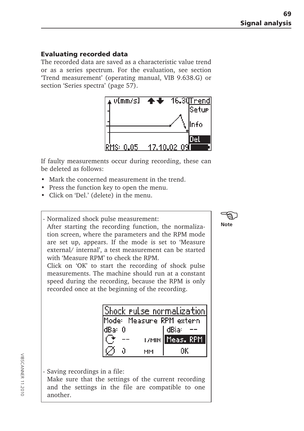#### **Evaluating recorded data**

The recorded data are saved as a characteristic value trend or as a series spectrum. For the evaluation, see section 'Trend measurement' (operating manual, VIB 9.638.G) or section 'Series spectra' (page 57).



If faulty measurements occur during recording, these can be deleted as follows:

- Mark the concerned measurement in the trend.
- Press the function key to open the menu.
- Click on 'Del.' (delete) in the menu.

- Normalized shock pulse measurement:

After starting the recording function, the normalization screen, where the parameters and the RPM mode are set up, appears. If the mode is set to 'Measure external/ internal', a test measurement can be started with 'Measure RPM' to check the RPM.

Click on 'OK' to start the recording of shock pulse measurements. The machine should run at a constant speed during the recording, because the RPM is only recorded once at the beginning of the recording.

| Shock pulse normalization |  |    |                     |
|---------------------------|--|----|---------------------|
| Mode: Measure RPM extern  |  |    |                     |
| ldBari                    |  |    | dBia:               |
|                           |  |    | (7MIN    Meas., RPM |
|                           |  | мм | nк                  |

Saving recordings in a file:

Make sure that the settings of the current recording and the settings in the file are compatible to one another.

**Note** - \$}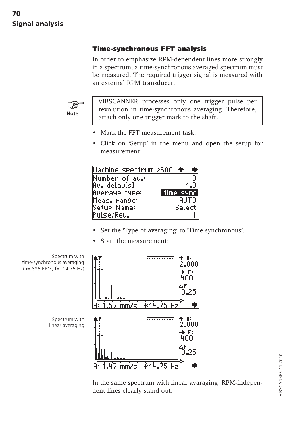#### **Time-synchronous FFT analysis**

In order to emphasize RPM-dependent lines more strongly in a spectrum, a time-synchronous averaged spectrum must be measured. The required trigger signal is measured with an external RPM transducer.



VIBSCANNER processes only one trigger pulse per revolution in time-synchronous averaging. Therefore, attach only one trigger mark to the shaft.

- Mark the FFT measurement task.
- Click on 'Setup' in the menu and open the setup for measurement:



- Set the 'Type of averaging' to 'Time synchronous'.
- Start the measurement:



In the same spectrum with linear avaraging RPM-independent lines clearly stand out.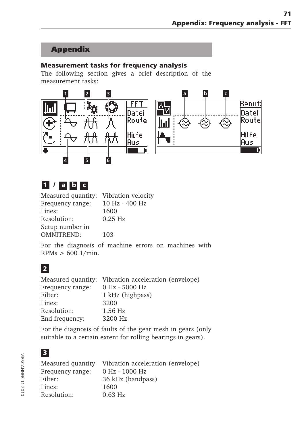# **Appendix**

#### **Measurement tasks for frequency analysis**

The following section gives a brief description of the measurement tasks:



# **1 / a b c**

| Measured quantity: Vibration velocity |                |
|---------------------------------------|----------------|
| Frequency range:                      | 10 Hz - 400 Hz |
| Lines:                                | 1600           |
| Resolution:                           | $0.25$ Hz      |
| Setup number in                       |                |
| <b>OMNITREND:</b>                     | 103            |

For the diagnosis of machine errors on machines with  $RPMs > 600$  1/min.

# **2**

| Measured quantity: Vibration acceleration (envelope) |
|------------------------------------------------------|
| 0 Hz - 5000 Hz                                       |
| 1 kHz (highpass)                                     |
| 3200                                                 |
| $1.56$ Hz                                            |
| 3200 Hz                                              |
|                                                      |

For the diagnosis of faults of the gear mesh in gears (only suitable to a certain extent for rolling bearings in gears).

# **3**

| Measured quantity | Vibration acceleration (envelope) |
|-------------------|-----------------------------------|
| Frequency range:  | 0 Hz - 1000 Hz                    |
| Filter:           | 36 kHz (bandpass)                 |
| Lines:            | 1600                              |
| Resolution:       | $0.63$ Hz                         |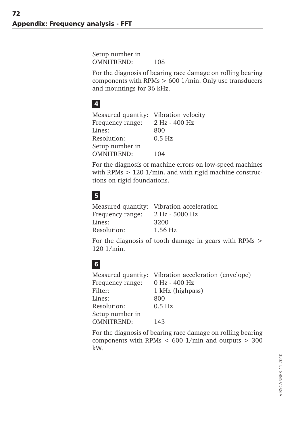Setup number in OMNITREND: 108

For the diagnosis of bearing race damage on rolling bearing components with RPMs > 600 1/min. Only use transducers and mountings for 36 kHz.

# **4**

Measured quantity: Vibration velocity Frequency range: 2 Hz - 400 Hz Lines: 800 Resolution: 0.5 Hz Setup number in OMNITREND: 104

For the diagnosis of machine errors on low-speed machines with RPMs  $> 120$  1/min. and with rigid machine constructions on rigid foundations.

# **5**

|                  | Measured quantity: Vibration acceleration |
|------------------|-------------------------------------------|
| Frequency range: | 2 Hz - 5000 Hz                            |
| Lines:           | 3200                                      |
| Resolution:      | $1.56$ Hz                                 |

For the diagnosis of tooth damage in gears with RPMs > 120 1/min.

# **6**

| Vibration acceleration (envelope) |
|-----------------------------------|
| 0 Hz - 400 Hz                     |
| 1 kHz (highpass)                  |
| 800                               |
| $0.5$ Hz                          |
|                                   |
| 143                               |
|                                   |

For the diagnosis of bearing race damage on rolling bearing components with RPMs  $< 600$  1/min and outputs  $> 300$ kW.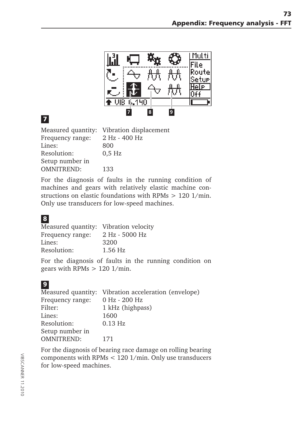

# **7**

| Measured quantity: Vibration displacement |
|-------------------------------------------|
| 2 Hz - 400 Hz                             |
| 800                                       |
| $0.5$ Hz                                  |
|                                           |
| 133                                       |
|                                           |

For the diagnosis of faults in the running condition of machines and gears with relatively elastic machine constructions on elastic foundations with RPMs > 120 1/min. Only use transducers for low-speed machines.

## **8**

| Measured quantity: Vibration velocity |
|---------------------------------------|
| 2 Hz - 5000 Hz                        |
| 3200                                  |
| $1.56$ Hz                             |
|                                       |

For the diagnosis of faults in the running condition on gears with RPMs > 120 1/min.

| Vibration acceleration (envelope) |
|-----------------------------------|
| 0 Hz - 200 Hz                     |
| 1 kHz (highpass)                  |
| 1600                              |
| $0.13$ Hz                         |
|                                   |
| 171                               |
|                                   |

For the diagnosis of bearing race damage on rolling bearing components with RPMs < 120 1/min. Only use transducers for low-speed machines.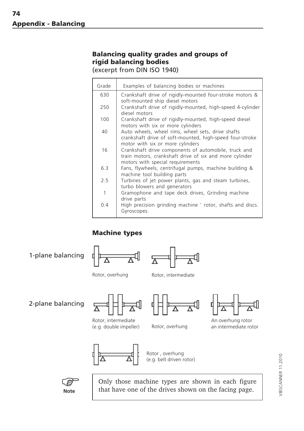## **Balancing quality grades and groups of rigid balancing bodies**

(excerpt from DIN ISO 1940)

| Grade | Examples of balancing bodies or machines                                                                                                            |
|-------|-----------------------------------------------------------------------------------------------------------------------------------------------------|
| 630   | Crankshaft drive of rigidly-mounted four-stroke motors &<br>soft-mounted ship diesel motors                                                         |
| 250   | Crankshaft drive of rigidly-mounted, high-speed 4-cylinder<br>diesel motors                                                                         |
| 100   | Crankshaft drive of rigidly-mounted, high-speed diesel<br>motors with six or more cylinders                                                         |
| 40    | Auto wheels, wheel rims, wheel sets, drive shafts<br>crankshaft drive of soft-mounted, high-speed four-stroke<br>motor with six or more cylinders   |
| 16    | Crankshaft drive components of automobile, truck and<br>train motors, crankshaft drive of six and more cylinder<br>motors with special requirements |
| 6.3   | Fans, flywheels, centrifugal pumps, machine building &<br>machine tool building parts                                                               |
| 2.5   | Turbines of jet power plants, gas and steam turbines,<br>turbo blowers and generators                                                               |
| 1     | Gramophone and tape deck drives, Grinding machine<br>drive parts                                                                                    |
| 0.4   | High precision grinding machine ' rotor, shafts and discs.<br>Gyroscopes.                                                                           |

## **Machine types**

1-plane balancing





Rotor, overhung Rotor, intermediate

2-plane balancing



Rotor, intermediate (e.g. double impeller) Rotor, overhung





An overhung rotor an intermediate rotor



Rotor , overhung (e.g. belt driven rotor)



Only those machine types are shown in each figure that have one of the drives shown on the facing page.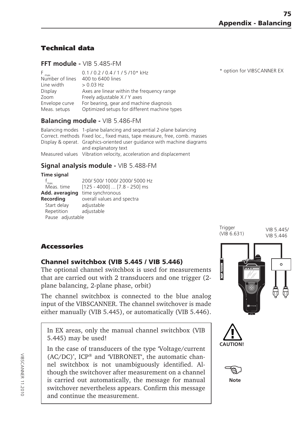## **Technical data**

#### **FFT module -** VIB 5.485-FM

| $F_{max.}$      | 0.1 / 0.2 / 0.4 / 1 / 5 / 10* kHz            |
|-----------------|----------------------------------------------|
| Number of lines | 400 to 6400 lines                            |
| Line width      | $> 0.03$ Hz                                  |
| Display         | Axes are linear within the frequency range   |
| Zoom            | Freely adjustable X / Y axes                 |
| Envelope curve  | For bearing, gear and machine diagnosis      |
| Meas. setups    | Optimized setups for different machine types |

#### **Balancing module -** VIB 5.486-FM

Balancing modes 1-plane balancing and sequential 2-plane balancing Correct. methods Fixed loc., fixed mass, tape measure, free, comb. masses Display & operat. Graphics-oriented user guidance with machine diagrams and explanatory text Measured values Vibration velocity, acceleration and displacement

### **Signal analysis module -** VIB 5.488-FM

| <b>Time signal</b> |                                 |
|--------------------|---------------------------------|
| max                | 200/500/1000/2000/5000 Hz       |
| Meas. time         | $[125 - 4000]$ $[7.8 - 250]$ ms |
| Add. averaging     | time synchronous                |
| Recording          | overall values and spectra      |
| Start delay        | adjustable                      |
| Repetition         | adjustable                      |
| Pause adjustable   |                                 |
|                    |                                 |

**Trigger** (VIB 6.631) VIB 5.445/ VIB 5.446

## **Accessories**

#### **Channel switchbox (VIB 5.445 / VIB 5.446)**

The optional channel switchbox is used for measurements that are carried out with 2 transducers and one trigger (2 plane balancing, 2-plane phase, orbit)

The channel switchbox is connected to the blue analog input of the VIBSCANNER. The channel switchover is made either manually (VIB 5.445), or automatically (VIB 5.446).

In EX areas, only the manual channel switchbox (VIB 5.445) may be used!

In the case of transducers of the type 'Voltage/current (AC/DC)', ICP® and 'VIBRONET', the automatic channel switchbox is not unambiguously identified. Although the switchover after measurement on a channel is carried out automatically, the message for manual switchover nevertheless appears. Confirm this message and continue the measurement.







**Note**

\* option for VIBSCANNER EX